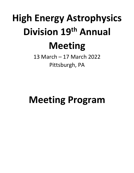# **High Energy Astrophysics Division 19th Annual Meeting**

13 March – 17 March 2022 Pittsburgh, PA

## **Meeting Program**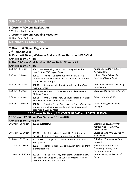| <b>SUNDAY, 13 March 2022</b>            |                                                                                                                                                          |                                                                                 |
|-----------------------------------------|----------------------------------------------------------------------------------------------------------------------------------------------------------|---------------------------------------------------------------------------------|
| $3:00$ pm $-7:00$ pm, Registration      |                                                                                                                                                          |                                                                                 |
| 17th Floor/ Coat Check                  |                                                                                                                                                          |                                                                                 |
|                                         | 7:00 pm - 8:30 pm, Opening Reception                                                                                                                     |                                                                                 |
| William Penn Ballroom                   |                                                                                                                                                          |                                                                                 |
| <b>MONDAY, 14 March 2022</b>            |                                                                                                                                                          |                                                                                 |
| 7:30 am $-$ 6:00 pm, Registration       |                                                                                                                                                          |                                                                                 |
| 17th Floor/Coat Check                   |                                                                                                                                                          |                                                                                 |
|                                         | 8:15 am - 8:30 am, Welcome Address, Fiona Harrison, HEAD Chair                                                                                           |                                                                                 |
| Grand Ballroom, 17 <sup>th</sup> Floor  |                                                                                                                                                          |                                                                                 |
|                                         | 8:30-10:00 am, Oral Session: 100 - Stellar/Compact I                                                                                                     |                                                                                 |
| Grand Ballroom, 17th Floor              |                                                                                                                                                          |                                                                                 |
| $8:30$ am $-8:45$ am                    | 100.01 - Measuring the masses of magnetic white<br>dwarfs: A NuSTAR Legacy Survey                                                                        | Aarran Shaw, (University of<br>Nevada, Reno)                                    |
| $8:45$ am $-9:00$ am                    | 100.02 - The relative contribution to heavy metals                                                                                                       | Hsin-Yu Chen, (Massachusetts                                                    |
|                                         | production from binary neutron star mergers and neutron<br>star-black hole mergers                                                                       | Institute of Technology)                                                        |
| $9:00$ am $-9:15$ am                    | 100.03 - X-ray and virtual-reality modeling of tau Sco's<br>magnetosphere                                                                                | Christopher Russell, (University<br>of Delaware)                                |
| $9:15$ am $-9:30$ am                    | 100.04 - Neutron Star Dynamics and Radio Pulsars in<br><b>Globular Clusters</b>                                                                          | Claire Ye, (Northwestern/CIERA)                                                 |
| $9:30$ am $-9:45$ am                    | 100.05 - Who Ordered That? Unequal-Mass Binary Black<br>Hole Mergers Have Larger Effective Spins                                                         | Salvatore Vitale, (MIT)                                                         |
| $9:45$ am $-10:00$ am                   | 100.06 - Chandra Grating Spectroscopy Finds a Surprising                                                                                                 | David Cohen, (Swarthmore                                                        |
|                                         | Change in the Wind Mass-Loss Rate of the O Supergiant                                                                                                    | College)                                                                        |
|                                         | zeta Puppis Over 18 Years                                                                                                                                |                                                                                 |
|                                         | 10:00 am - 10:30 am, AM COFFEE BREAK and POSTER SESSION                                                                                                  |                                                                                 |
|                                         | 10:30 am - 12:00 pm, Oral Session: 101 - AGN I                                                                                                           |                                                                                 |
| Grand Ballroom - 17 <sup>th</sup> Floor |                                                                                                                                                          |                                                                                 |
| 10:30 am -10:45 am                      | 101.01 Withdrawn                                                                                                                                         | Bradford Snios, (Center for<br>Astrophysics   Harvard &<br>Smithsonian)         |
| 10:45 am -11:00 am                      | 101.02 - Are Active Galactic Nuclei in Post-Starburst                                                                                                    | Lauranne Lanz, (The College of                                                  |
|                                         | Galaxies Driving the Change or Along for the Ride?                                                                                                       | New Jersey)                                                                     |
| 11:00 am $-11:15$ am                    | 101.03 - The origin of X-ray emission from most radio-<br>loud quasars                                                                                   | Shifu Zhu, (Pennsylvania State<br>University)                                   |
| 11:15 am $-11:30$ am                    | 101.04 - Morphological clues to the X-ray emission from<br>extragalactic jets                                                                            | Karthik Reddy Solipuram,<br>(University of Maryland<br><b>Baltimore County)</b> |
| 11:30 am $-$ 11:45 am                   | 101.05 - HST Spectroscopy of Ly-alpha; Emission in Low-<br>Redshift Weak Emission-Line Quasars: Probing for Rapid<br>Accretion in Active Galactic Nuclei | Jeremiah Paul, (University of<br>Nevada)                                        |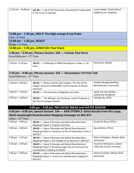| 11:45 am $-$ 12:00 pm                             | 101.06 - Call of the Duty Cycle: Searching for Fading AGN<br>in the 12 mu m Galaxies<br>12:00 pm – 1:30 pm, HEX-P: The High-energy X-ray Probe               | Lynnie Saade, (University of<br>California, Los Angeles)  |
|---------------------------------------------------|--------------------------------------------------------------------------------------------------------------------------------------------------------------|-----------------------------------------------------------|
| Frick - CL Floor                                  |                                                                                                                                                              |                                                           |
| 12:00 pm $-$ 1:30 pm, HEACIT<br>Phipps - CL Floor |                                                                                                                                                              |                                                           |
|                                                   | 12:00 pm – 1:30 pm, LUNCH (On Your Own)                                                                                                                      |                                                           |
| Grand Ballroom $-17$ <sup>th</sup> Floor          | 1:30 pm – 2:30 pm, Plenary Session: 102 – Invited, Paul Hertz                                                                                                |                                                           |
| 1:30 pm $-2:30$ pm                                | 102.01 - Challenges in NASA Astrophysics, today +/-10<br>years                                                                                               | Paul Hertz, (NASA)                                        |
| Grand Ballroom - 17 <sup>th</sup> Floor           | 2:30 pm - 4:00 pm, Plenary Session: 103 - Dissertation I-III Prize Talk                                                                                      |                                                           |
| $2:30 \text{ pm} - 3:00 \text{ pm}$               | 103.01 - Binary neutron star mergers: The fate of the<br>merger remnant in GW170817 and its imprint on the jet<br>structure                                  | Ariadna Murguia Berthier,<br>(Northwestern University)    |
| $3:00 \text{ pm} - 3:30 \text{ pm}$               | 103.02 - The Extremes of Magnetic Accretion                                                                                                                  | Jakob Van den Eijnden,<br>(University of Oxford)          |
| 3:30 pm $-$ 4:00 pm                               | 103.03 - The Whisper and the Bang: Cosmic fireworks in<br>the lives of compact binarie                                                                       | Kishalay De, (MIT)                                        |
|                                                   | 4:00 pm – 4:30 pm, PM COFFEE BREAK and POSTER SESSION                                                                                                        |                                                           |
| Urban $-17^{\text{th}}$ Floor                     | 4:30 pm – 6:00 pm, Special Session: 104 – AGN STORM 2: Initial Results from this Large,<br><b>Multi-wavelength Reverberation Mapping Campaign on Mrk 817</b> |                                                           |
| 4:30 pm $-$ 4:40 pm                               | 104.01 - Space Telescope and Optical Reverberation<br>Mapping Project 2: Program Overview                                                                    | Gisella De Rosa, (STScI)                                  |
| 4:40 pm $-$ 5:00 pm                               | 104.02 - Space Telescope and Optical Reverberation<br>Mapping Project 2: Variations of the UV Absorption Lines in<br>Mrk 817                                 | Gerard Kriss, (STScI)                                     |
| 5:00 pm $-$ 5:20 pm                               | 104.03 - Space Telescope and Optical Reverberation<br>Mapping Project 2: the variable X-ray obscurer in Mrk 817                                              | Ethan Partington, (Wayne State<br>University)             |
| 5:20 pm $-$ 5:40 pm                               | 104.04 - Space Telescope and Optical Reverberation<br>Mapping Project 2: Broad line lags from UV emission line<br>reverberation mapping of Mrk817            | Yasaman Homayouni, (Space<br>Telescope Science Institute) |
| 5:40 pm $-$ 6:00 pm                               | 104.05 - Space Telescope and Optical Reverberation<br>Mapping Project 2: continuum reverberation mapping in<br>Mrk 817                                       | Edward Cackett, (Wayne State<br>University)               |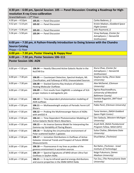#### **4:30 pm – 6:00 pm, Special Session: 105 — Panel Discussion: Creating a Roadmap for Highresolution X-ray Cross-calibration**

| Grand Ballroom $-17th$ Floor                                                          |                           |                                |
|---------------------------------------------------------------------------------------|---------------------------|--------------------------------|
| 4:30 pm $-$ 4:52pm                                                                    | 105.01 - Panel Discussion | Carles Badenes, ()             |
| 4:52 pm $-5:14$ pm                                                                    | 105.02 - Panel Discussion | Kristin Madsen, (Goddard Space |
|                                                                                       |                           | <b>Flight Center)</b>          |
| 5:14 pm $-$ 5:36 pm                                                                   | 105.03 - Panel Discussion | John Raymond, ()               |
| 5:36 pm $-$ 5:58 pm                                                                   | 105.04 - Panel Discussion | Vinay Kashyap, (Center for     |
|                                                                                       |                           | Astrophysics   Harvard &       |
|                                                                                       |                           | Smithsonian)                   |
| 6:00 pm $-$ 7:30 pm, A Python-friendly Introduction to Doing Science with the Chandra |                           |                                |

**Source Catalog**

Phipps – CL Floor

**6:00 pm – 7:30 pm, Poster Viewing & Happy Hour**

**6:00 pm – 7:30 pm, Poster Sessions 106–111**

**Poster Session 106: AGN**

| 6:00 pm $-7:30$ pm  | 106.04 - Heavily Obscured Active Galactic Nuclei in the<br><b>NuSTAR Era</b>                                                       | Xiurui Zhao, (Center for<br>Astrophysics   Harvard &<br>Smithsonian)         |
|---------------------|------------------------------------------------------------------------------------------------------------------------------------|------------------------------------------------------------------------------|
| 6:00 pm $- 7:30$ pm | 106.05 - Counterpart Detection, Spectral Analysis, ML<br>Classification, and Followup of 4FGL Unassociated Sources                 | Stephen Kerby, (Penn State<br>University)                                    |
| 6:00 pm $- 7:30$ pm | 106.08 - Stacked Gamma-Ray Analysis of Galaxies<br><b>Hosting Molecular Outflows</b>                                               | Alex McDaniel, (Clemson<br>University)                                       |
| 6:00 pm $-7:30$ pm  | 106.09 - First results from CAgNVAS: a catalogue of VLA<br>proper motions in extragalactic jets                                    | Agniva Roychowdhury,<br>(University of Maryland-<br><b>Baltimore County)</b> |
| 6:00 pm $-7:30$ pm  | 106.10 - Time-dependent photoionisation modeling of<br><b>AGN outflows</b>                                                         | Daniele Rogantini, (MIT Kavli<br><i>Institute</i> )                          |
| 6:00 pm $-7:30$ pm  | 106.11 - Multiwavelength analysis of Periodic Fermi-LAT<br><b>Blazars</b>                                                          | Pablo Penil, (Clemson University)                                            |
| 6:00 pm $-7:30$ pm  | 106.12 - Probing the Multimessenger Nature of AGNs<br>with amEGO-X                                                                 | Tonia Venters, (NASA Goddard<br>Space Flight Center)                         |
| 6:00 pm $-7:30$ pm  | 106.14 - Time Dependent Photoionization Modeling of<br>Active Galactic Neclei Warm Absorbers.                                      | Dev Sadaula, (Western Michigan<br>University)                                |
| 6:00 pm $-7:30$ pm  | 106.15 - An Inverse Gamma Model for Interpreting the<br><b>Gamma-ray Variability of Flaring Blazars</b>                            | Aryeh Brill, (NASA Postdoctoral<br>Program Fellow, NASA GSFC)                |
| 6:00 pm $-7:30$ pm  | 106.16 - Studying the circumnuclear environment of<br>Polar-scattered Seyfert 1 galaxies                                           | Sulov Chalise, (Montana State<br>University)                                 |
| 6:00 pm $-7:30$ pm  | 106.17 - Ionization Distributions in Outflows of Active<br>Galaxies: Universal Trends and Prospect of Future XRISM<br>Measurements | Ehud Behar, (Technion)                                                       |
| 6:00 pm -7:30 pm    | 106.18 - Fluorescence X-ray lines as probes of the<br>gaseous environment in accretion sources                                     | Roi Rahin, (Technion - Israel<br>Institute of Technology)                    |
| 6:00 pm $-7:30$ pm  | 106.19 - Spectral Signatures of MHD-driven Ultra-Fast<br><b>Outflows in Seyfert AGNs</b>                                           | Keigo Fukumura, (James<br><b>Madison University)</b>                         |
| 6:00 pm $-7:30$ pm  | 106.21 - X-ray-to-infrared spectral energy distributions<br>and source properties in the XMM-SERVS fields                          | Fan Zou, (The Pennsylvania State<br>University)                              |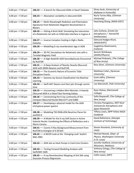| 6:00 pm $-7:30$ pm | 106.22 - A Search for Obscured AGNs in Dwarf Galaxies                                                                             | Shrey Ansh, (University of<br>Alabama in Huntsville)                                 |
|--------------------|-----------------------------------------------------------------------------------------------------------------------------------|--------------------------------------------------------------------------------------|
| 6:00 pm $-7:30$ pm | 106.23 - Absorption variability in obscured AGN                                                                                   | Nuria Torres-Alba, (Clemson<br>University)                                           |
| 6:00 pm $-7:30$ pm | 106.25 - Multi-Wavelength Radiation and Polarization<br>Signatures from Relativistic Magnetic Reconnection in<br><b>Blazars</b>   | Haocheng Zhang, (NASA GSFC)                                                          |
| 6:00 pm $-7:30$ pm | 106.26 - Hitting A Brick Wall: Simulating the Interaction<br>of a Relativistic Jet with an ICM/Lobe Interface in Cygnus A         | John ZuHone, (Center for<br>Astrophysics   Harvard &<br>Smithsonian)                 |
| 6:00 pm -7:30 pm   | 106.27 - Inverse Compton Cooling in High-z Radio<br>Galaxies                                                                      | Edmund Hodges-Kluck,<br>(NASA/GSFC)                                                  |
| 6:00 pm $-7:30$ pm | 106.28 - Modelling X-ray reverberation lags in AGN                                                                                | Guglielmo Mastroserio,<br>(Caltech)                                                  |
| 6:00 pm $-7:30$ pm | 106.29 - 3D PIC Simulations for Relativistic Jets with a<br><b>Toroidal Magnetic Field</b>                                        | Kenichi Nishikawa,<br>(AAMU/Physics)                                                 |
| 6:00 pm $-7:30$ pm | 106.30 - A High-Redshift AGN Serendipitously Discovered<br>by NuSTAR                                                              | Michael Pedowitz, (The College<br>of New Jersey)                                     |
| 6:00 pm $-7:30$ pm | 106.31 - A Deep Analysis of Nearby Heavily Obscured<br>AGN with XMM-Newton and NuSTAR                                             | Ross Silver, (Clemson University)                                                    |
| 6:00 pm $-7:30$ pm | 106.32 - The Eccentric Nature of Eccentric Tidal<br><b>Disruption Events</b>                                                      | Matthew Cufari, (Syracuse<br>University)                                             |
| 6:00 pm $-7:30$ pm | 106.33 - Gamma-ray Source Classification Via Machine<br>Learning                                                                  | Scott Joffre, (Clemson<br>University)                                                |
| 6:00 pm $-7:30$ pm | 106.34 - Swift-BAT blazars and their jets through cosmic<br>time                                                                  | Lea Marcotulli, (Yale University)                                                    |
| 6:00 pm $-7:30$ pm | 106.35 - Uncovering a Hidden Mini-Monster: A Heavily<br>Obscured AGN in a Dwarf Star-forming Galaxy                               | Ryan Hickox, (Dartmouth<br>College)                                                  |
| 6:00 pm $-7:30$ pm | 106.36 - Constraining the X-ray Luminosity of the<br>Compact Obscured Nuclei NGC1377 and IC860                                    | Sofia Stepanoff, (The College of<br>New Jersey)                                      |
| 6:00 pm $-7:30$ pm | 106.37 - Developing a physical model for the AGN<br>UV/optical power spectra                                                      | Christos Panagiotou, (MIT Kavli<br>Institute for Astrophysics and<br>Space Research) |
| 6:00 pm $-7:30$ pm | 106.38 - Modeling TXS 0506+056 Neutrino Flares for<br>amEGO-X                                                                     | Tiffany Lewis, (NPP Fellow NASA<br>Goddard)                                          |
| 6:00 pm $-7:30$ pm | 106.39 - A Model for the X-ray Soft Excess in Active<br>Galactic Nuclei: Combining the Effects of Reflection and a<br>Warm Corona | David Ballantyne, (Georgia<br>Institute of Technology)                               |
| 6:00 pm $-7:30$ pm | 106.41 - Cosmic X-Ray Background Measurement from<br>NuSTAR in Energies of 3-30 keV                                               | Steven Rossland, (University of<br>Utah)                                             |
| 6:00 pm $-7:30$ pm | 106.42 - A NICER Look at the `Changing Look' Seyfert<br><b>NGC 2992</b>                                                           | Michael Nowak, (Dept. of<br>Physics, Washington University<br>in St. Louis)          |
| 6:00 pm $-7:30$ pm | 106.43 - AGN Jets as Heat Pumps in Cool-Core Clusters                                                                             | Jennifer Stafford, (University of<br>Wisconsin, Madison)                             |
| 6:00 pm $-7:30$ pm | 106.44 - Testing Forward Modeling Analysis with<br>Swift/BAT AGN                                                                  | Anthony Ortega, (The College of<br>New Jersey)                                       |
| 6:00 pm $-7:30$ pm | 106.45 - X-ray Reverberation Mapping of Ark 564 using<br><b>Gaussian Process Regression</b>                                       | Collin Lewin, (MIT)                                                                  |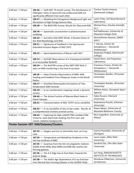| 6:00 pm $-7:30$ pm                               | 106.46 - Swift-BAT 70-month survey: The distributions of<br>Eddington ratios of obscured and unobscured AGN are<br>significantly different from each other | Tonima Tasnim Ananna,<br>(Dartmouth College)                              |
|--------------------------------------------------|------------------------------------------------------------------------------------------------------------------------------------------------------------|---------------------------------------------------------------------------|
| 6:00 pm $-7:30$ pm                               | 106.47 - Modeling the Extragalactic Background Light and<br>Absorption of High Energy Gamma-Rays                                                           | Justin Finke, (US Naval Research<br>Laboratory)                           |
| 6:00 pm $-7:30$ pm                               | 106.48 - The BASS DR2 Survey: Results for Obscured AGN                                                                                                     | Michael Koss, (Eureka Scientific,<br>Inc.                                 |
| 6:00 pm $-7:30$ pm                               | 106.49 - Systematic uncertainties in photoionization<br>modeling                                                                                           | Ralf Ballhausen, (University of<br><b>Maryland College Park)</b>          |
| 6:00 pm $-7:30$ pm                               | 106.50 - Accretion Disk MHD Winds: A Rosetta Stone of<br>the AGN Morphology and SEDs                                                                       | Demosthenes Kazanas, (NASA -<br>GSFC)                                     |
| 6:00 pm $-7:30$ pm                               | 106.51 - Signatures of Feedback in the Spectacular<br>Extended Emission Region of NGC 5972                                                                 | T. Harvey, (Center for<br>Astrophysics   Harvard &<br>Smithsonian)        |
| 6:00 pm $-7:30$ pm                               | 106.52 - Spectropolarimetry of Blazars with SALT                                                                                                           | Stephanie Podjed, (Dartmouth<br>College)                                  |
| 6:00 pm $-7:30$ pm                               | 106.53 - NuSTAR Observations of a Prototypical HotDOG<br>at an Accessible Redshift                                                                         | Daniel Stern, (Jet Propulsion<br>Laboratory)                              |
| 6:00 pm $-7:30$ pm                               | 106.54 - The NuSTAR survey of the JWST NEP field: 4<br>years of AGN monitoring in the hard X-ray band                                                      | Francesca Civano, (Center for<br>Astrophysics   Harvard &<br>SMithsonian) |
| 6:00 pm $-7:30$ pm                               | 106.56 - Deep Chandra Observations of M84: AGN<br>Feeding and Feedback from Kiloparsec Scales to the Bondi<br>Radius                                       | Christopher Bambic, (Princeton<br>University)                             |
| 6:00 pm $-7:30$ pm                               | 106.57 - Stratified Shearing Box Simulations of Two-<br>temperature AGN Coronae                                                                            | Christopher Bambic, (Princeton<br>University)                             |
| 6:00 pm $-7:30$ pm                               | 106.58 - X-ray reverberation mapping reveals a dynamic<br>corona                                                                                           | William Alston, (European Space<br>Agency)                                |
| 6:00 pm $-7:30$ pm                               | 106.60 - The Active Fraction of Massive Black Holes in<br><b>Dwarf Galaxies</b>                                                                            | Fabio Pacucci, (Harvard<br>University)                                    |
| 6:00 pm $-7:30$ pm                               | 106.61 - Characterization of NGC 7479's torus variability                                                                                                  | Andrealuna Pizzetti, (Clemson<br>University)                              |
| 6:00 pm $-7:30$ pm                               | 106.62 - X-ray Variability of Jets on kpc scales - Results of<br>a comprehensive Chandra archival survey                                                   | Eileen Meyer, (University of<br><b>Maryland Baltimore County)</b>         |
| 6:00 pm $-7:30$ pm                               | 106.64 - Exploring the high-redshift PBH-Lambda-CDM<br>Universe: early black hole seeding, the first stars and<br>cosmic radiation backgrounds             | Nico Cappelluti, (University of<br>Miami)                                 |
| <b>Poster Session 107: ISM/Galaxies/Clusters</b> |                                                                                                                                                            |                                                                           |
| 6:00 pm $-7:30$ pm                               | 107.03 - Oxygen and iron in interstellar dust: an X-ray<br>view                                                                                            | Ioanna Psaradaki, (University of<br>Michigan)                             |
| 6:00 pm $-7:30$ pm                               | 107.04 - Temperature and Metallicity Gradients in the<br>Hot Gas Outflows of M82                                                                           | Laura Lopez, (Ohio State<br>University)                                   |
| 6:00 pm $-7:30$ pm                               | 107.05 - Surprises from the hot circumgalactic medium<br>(CGM) of the Milky Way (MW) and MW-like nearby star-<br>forming galaxies                          | Sanskriti Das, (The Ohio State<br>University)                             |
| 6:00 pm $-7:30$ pm                               | 107.06 - The Si K Edge Gas to Dust Ratio Towards the<br><b>Galactic Bulge</b>                                                                              | Jun Yang, (MASSACHUSETTS<br><b>INSTITUTE OF TECHNOLOGY)</b>               |
| 6:00 pm $-7:30$ pm                               | 107.08 - The Stellar Age Dependence of X-ray Emission<br>from Normal Star-Forming Galaxies in the GOODS Fields                                             | Woodrow Gilbertson, (University<br>of Arkansas)                           |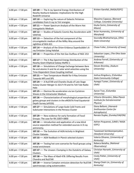| 6:00 pm $-7:30$ pm | 107.09 - The X-ray Spectral Energy Distributions of<br>Nearby Starburst Galaxies: Implications for the High                                               | Kristen Garofali, (NASA/GSFC)                                                  |
|--------------------|-----------------------------------------------------------------------------------------------------------------------------------------------------------|--------------------------------------------------------------------------------|
|                    | <b>Redshift Universe</b>                                                                                                                                  |                                                                                |
| 6:00 pm $-7:30$ pm | 107.10 - Exploring the nature of Galactic PeVatron<br>candidates from X-ray to TeV energies                                                               | Massimo Capasso, (Barnard<br>College, Columbia University)                     |
| 6:00 pm $-7:30$ pm | 107.11 - Power Spectrum Analysis of the Warm Hot<br>Intergalactic Medium                                                                                  | Giulia Cerini, (University of<br>Miami)                                        |
| 6:00 pm $-7:30$ pm | 107.12 - Studies of Galactic Cosmic-Ray Accelerators with<br><b>VERITAS</b>                                                                               | Brian Humensky, (University of<br>Maryland)                                    |
| 6:00 pm $-7:30$ pm | 107.13 - Detection of the hot component of the<br>circumgalactic medium of the Milky Way around the<br>sightline of Mrk 421                               | Souradip Bhattacharyya, (Ohio<br>State University)                             |
| 6:00 pm $-7:30$ pm | 107.14 - Analysis of the Orion-Eridanus Superbubble's X-<br>ray Emission Using HaloSat                                                                    | Chase Fuller, (University of Iowa)                                             |
| 6:00 pm $-7:30$ pm | 107.16 - Properties of the Hot Gas Outflow of NGC 253                                                                                                     | Sebastian Lopez, (The Ohio State<br>University)                                |
| 6:00 pm $-7:30$ pm | 107.17 - The X-Ray Spectral Energy Distribution of the<br>Nearby Giant Elliptical Galaxy Maffei 1                                                         | Andrew Ferrell, (University of<br>Arkansas)                                    |
| 6:00 pm $-7:30$ pm | 107.18 - Simulations of Charge Exchange between Bare<br>Ne and atomic H and He at solar wind velocities using the<br>Time-Dependent Close-Coupling method | Steven Bromley, (Auburn<br>University)                                         |
| 6:00 pm $-7:30$ pm | 107.21 - Two-Temperature Model for X-Ray Emission<br><b>Towards NPS and SPS</b>                                                                           | Joshua Kingsbury, (Columbus<br><b>State Community College)</b>                 |
| 6:00 pm $-7:30$ pm | 107.24 - A NuSTAR and Chandra Study of Late Stage<br>Galaxy Cluster Merger CL 0217+70 and Its Tell-Tale Radio<br>Halo                                     | Aysegul Tumer, (University of<br>Utah)                                         |
| 6:00 pm $-7:30$ pm | 107.25 - Electron Re-acceleration via Ion Cyclotron<br>Waves in the Intracluster Medium                                                                   | Aaron Tran, (Columbia<br>University)                                           |
| 6:00 pm $-7:30$ pm | 107.26 - Characterization of morphological properties of<br>galaxy groups and clusters in the eROSITA Final Equatorial-<br>Depth Survey (eFEDS)           | Vittorio Ghirardini, (Max Planck<br>Institute for Extraterrestrial<br>Physics) |
| 6:00 pm $-7:30$ pm | 107.27 - Simulations of Large-Scale Cold Fronts and<br>Subcluster Interactions in the Perseus Cluster                                                     | Elena Bellomi, (Harvard-<br>Smithsonian Center for<br>Astrophysics)            |
| 6:00 pm $-7:30$ pm | 107.29 - New evidence for early formation of Fossil<br>Groups: The case for RX J1007+3800                                                                 | Renato Dupke, (Eureka/UM/ON)                                                   |
| 6:00 pm $-7:30$ pm | 107.30 - Introduction and application of a new blind<br>source separation method for extended sources in X-ray<br>astronomy.                              | Adrien Picquenot, (UMD / NASA<br>GSFC)                                         |
| 6:00 pm $-7:30$ pm | 107.32 - The Evolution of AGN Activity in Brightest<br><b>Cluster Galaxies</b>                                                                            | Taweewat Somboonpanyakul,<br>(Stanford University)                             |
| 6:00 pm $-7:30$ pm | 107.33 - AGN feedback in Planck selected clusters                                                                                                         | Valeria Olivares, (University of<br>Kentucky)                                  |
| 6:00 pm $-7:30$ pm | 107.36 - Testing hot core scenarios for fossil groups using<br>metal enrichment                                                                           | Rebeca Batalha, (National<br>Observatory)                                      |
| 6:00 pm $-7:30$ pm | 107.37 - The Unseen: Clumping in the Outskirts of Galaxy<br>Clusters                                                                                      | Christian Norseth, (University of<br>Utah)                                     |
| 6:00 pm $-7:30$ pm | 107.38 - The Mass of Abell 478: Differing Results From<br><b>Chandra and NuSTAR</b>                                                                       | Cicely Potter, (University of<br>Utah)                                         |
| 6:00 pm $-7:30$ pm | 107.39 - Inverse Compton emission detection for NuSTAR<br>spectroscopy using autoencoders                                                                 | Sheng-Chieh Lin, (University of<br>Kentucky)                                   |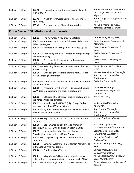| 6:00 pm $-7:30$ pm | 107.40 - Tracing baryons in the cosmic web filaments<br>with eROSITA                                        | Soumya Shreeram, (Max Planck<br>Institute for Extraterrestrial<br>Physics)  |
|--------------------|-------------------------------------------------------------------------------------------------------------|-----------------------------------------------------------------------------|
| 6:00 pm $-7:30$ pm | 107.41 - A Search for Inverse Compton Scattering in<br>MACSJ0717                                            | Randall Rojas Bolivar, (University<br>of Utah)                              |
| 6:00 pm $-7:30$ pm | 107.42 - The Importance of Being Interpretable                                                              | Michelle Ntampaka, (Space<br>Telescope Science Institute)                   |
|                    | <b>Poster Session 108: Missions and Instruments</b>                                                         |                                                                             |
| 6:00 pm $-7:30$ pm | 108.02 - The Advanced X-ray Imaging Satellite                                                               | Andrew Ptak, (NASA/GSFC)                                                    |
| 6:00 pm $-7:30$ pm | 108.03 - Status of the Prototype Schwarzschild-Couder<br>Telescope Project                                  | Brian Humensky, (University of<br>Maryland)                                 |
| 6:00 pm $-7:30$ pm | 108.04 - Progress in Realizing Adjustable X-ray Optics                                                      | Casey DeRoo, (University of<br>lowa)                                        |
| 6:00 pm $-7:30$ pm | 108.05 - Fabricating the Next Generation of High Energy<br><b>Reflection Gratings</b>                       | Cecilia Fasano, (University of<br>lowa)                                     |
| 6:00 pm $-7:30$ pm | 108.06 - Assessing the Performance of Customized<br><b>Gratings for X-ray Spectroscopy</b>                  | Casey DeRoo, (University of<br>lowa)                                        |
| 6:00 pm $-7:30$ pm | 108.07 - Searching for Unusual Sources in the Chandra<br><b>Source Catalog</b>                              | Dustin Swarm, (University of<br>lowa)                                       |
| 6:00 pm $-7:30$ pm | 108.08 - Enhancing the Chandra archive with ZTF alert<br>streams through annotation                         | Michael McCollough, (Center for<br>Astrophysics   Harvard &<br>Smithsonian) |
| 6:00 pm $-7:30$ pm | 108.10 - Variability of the unrejected particle background<br>on Chandra ACIS                               | Catherine Grant, (MIT)                                                      |
| 6:00 pm $-7:30$ pm | 108.11 - Preparing for Athena WFI - Using XMM-Newton<br>SWM data to understand the particle background      | Gerrit Schellenberger,<br>(Smithsonian Astrophysical<br>Observatory)        |
| 6:00 pm $-7:30$ pm | 108.12 - Mitigating the effects of particle background on<br>the Athena Wide-Field Imager                   | Eric Miller, (MIT)                                                          |
| 6:00 pm $-7:30$ pm | 108.13 - Introducing the HEACIT (High Energy Codes,<br>Interfaces, and Tools) Working Group                 | Lia Corrales, (University of<br>Michigan)                                   |
| 6:00 pm $-7:30$ pm | 108.14 - Pylira: a Python package for Low-counts Image<br><b>Reconstruction and Analysis</b>                | Axel Donath, (Center for<br>Astrophysics   Harvard &<br>Smithsonian)        |
| 6:00 pm $-7:30$ pm | 108.15 - High-density plasma effects in photoionization<br>models                                           | Jerome Deprince, (Caltech)                                                  |
| 6:00 pm $-7:30$ pm | 108.16 - Benchmarking X-ray emission from non-<br>equilibrium plasmas with an electron beam ion trap        | Natalie Hell, (Lawrence<br>Livermore National Laboratory)                   |
| 6:00 pm $-7:30$ pm | 108.17 - Unsupervised Machine Learning for the<br>Classification of Astrophysical X-ray Sources             | Victor Samuel Perez Diaz,<br>(Universidad Del Rosario)                      |
| 6:00 pm $-7:30$ pm | 108.18 - Charge Sharing in Cross-Strip Germanium<br>Detectors                                               | Jacqueline Beechert, (UC<br>Berkeley/SSL)                                   |
| 6:00 pm $-7:30$ pm | 108.19 - Detector System for Time-Domain Astrophysics<br>in the Soft Gamma-ray Regime                       | Hannah Gulick, (UC Berkeley,<br>SSL)                                        |
| 6:00 pm $-7:30$ pm | 108.20 - ComPair Silicon Tracker                                                                            | Sambid Wasti, (Catholic<br>University of america)                           |
| 6:00 pm $-7:30$ pm | 108.21 - Maximizing CNN potential to predict X-ray<br>polarization through photoelectron production in GPDs | Michela Negro, (NASA Goddard<br>Space Flight Center)                        |
| 6:00 pm $-7:30$ pm | 108.22 - Diffuse X-rays from the Local Galaxy (DXL-4)                                                       | Roberto Moncada, (University of<br>Miami)                                   |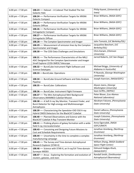| 6:00 pm $-7:30$ pm | 108.23 - Halosat - A Cubesat That Studied The Hot<br>Galactic Halo                                                                                    | Philip Kaaret, (University of<br>lowa)                     |
|--------------------|-------------------------------------------------------------------------------------------------------------------------------------------------------|------------------------------------------------------------|
| 6:00 pm $-7:30$ pm | 108.24 - Performance Verification Targets for XRISM:<br><b>Galactic Compact</b>                                                                       | Brian Williams, (NASA GSFC)                                |
| 6:00 pm $-7:30$ pm | 108.25 - Performance Verification Targets for XRISM:<br><b>Galactic Diffuse</b>                                                                       | Brian Williams, (NASA GSFC)                                |
| 6:00 pm $-7:30$ pm | 108.26 - Performance Verification Targets for XRISM:<br><b>Extragalactic Compact</b>                                                                  | Brian Williams, (NASA GSFC)                                |
| 6:00 pm $-7:30$ pm | 108.27 - Performance Verification Targets for XRISM:<br><b>Extragalactic Diffuse</b>                                                                  | Brian Williams, (NASA GSFC)                                |
| 6:00 pm $-7:30$ pm | 108.28 - The Compton Spectrometer and Imager                                                                                                          | John Tomsick, (UC Berkeley/SSL)                            |
| 6:00 pm $-7:30$ pm | 108.29 - Measurement of emission lines by the Compton<br>Spectrometer and Imager                                                                      | Jacqueline Beechert, (UC<br>Berkeley/SSL)                  |
| 6:00 pm $-7:30$ pm | 108.30 - The COSI Data Challenges and Simulations                                                                                                     | Chris Karwin, (Clemson<br>University)                      |
| 6:00 pm $-7:30$ pm | 108.31 - The Performance Characteristics of the NRL2<br>ASIC Designed for the Compton Spectrometer and Imager<br>Small Explorer (COSI-SMEX) Telescope | Jarred Roberts, (UC San Diego)                             |
| 6:00 pm $-7:30$ pm | 108.32 - BurstCube Instrument Flight Software and<br><b>Science Datatypes</b>                                                                         | Michael Briggs, (University of<br>Alabama in Huntsville)   |
| 6:00 pm $-7:30$ pm | 108.33 - BurstCube: Operations                                                                                                                        | Pi Nuessle, (George Washington<br>University)              |
| 6:00 pm $-7:30$ pm | 108.34 - BurstCube Ground Software and Data Analysis<br>Pipeline                                                                                      | Joseph Asercion, (NASA/GSFC)                               |
| 6:00 pm $-7:30$ pm | 108.35 - BurstCube: Calibrations                                                                                                                      | Alyson Joens, (George<br><b>Washington University)</b>     |
| 6:00 pm $-7:30$ pm | 108.36 - BurstCube: Instrument Flight Firmware                                                                                                        | Sean Griffin, (WIPAC)                                      |
| 6:00 pm -7:30 pm   | 108.37 - The Mini Astrophysical MeV Background<br><b>Observatory (MAMBO) CubeSat Mission</b>                                                          | Peter Bloser, (Los Alamos<br><b>National Laboratory)</b>   |
| 6:00 pm $-7:30$ pm | 108.38 - A Soft X-ray Sky Monitor, Transient Finder, and<br>Burst Detector for High-energy and Multimessenger                                         | Abraham Falcone, (Pennsylvania<br>State University)        |
|                    | Astrophysics                                                                                                                                          |                                                            |
| 6:00 pm $-7:30$ pm | 108.39 - Characterizing the Speedster-EXD 550 X-ray<br>Hybrid CMOS Detectors for the BlackCAT CubeSat                                                 | Daniel LaRocca, (Pennsylvania<br><b>State University)</b>  |
| 6:00 pm $-7:30$ pm | 108.40 - Planned Observations and Science with the<br><b>BlackCAT CubeSat X-Ray Transient Monitor</b>                                                 | Joseph Colosimo, (Pennsylvania<br><b>State University)</b> |
| 6:00 pm $-7:30$ pm | 108.41 - Probing physics of galaxy formation with a wide-<br>field X-ray microcalorimeter                                                             | Anna Ogorzalek, (NASA<br>GSFC/UMCP)                        |
| 6:00 pm $-7:30$ pm | 108.43 - Conceiving and Designing Future Missions to<br><b>Cost and Schedule Requirements</b>                                                         | Jonathan Arenberg, (Northrop<br>Grumman)                   |
| 6:00 pm $-7:30$ pm | 108.44 - Uncertainty in the time to complete a complex<br>manufacturing campaign                                                                      | Jonathan Arenberg, (Northrop<br>Grumman)                   |
| 6:00 pm $-7:30$ pm | 108.45 - The Survey and Time-domain Astrophysical<br>Research Explorer (STAR-X)                                                                       | William Zhang, (NASA Goddard<br>Space Flight Center)       |
| 6:00 pm $-7:30$ pm | 108.46 - Science with STAR-X, an X-ray/UV Time-domain<br><b>Surveyor MIDEX</b>                                                                        | Edmund Hodges-Kluck,<br>(NASA/GSFC)                        |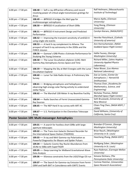| 6:00 pm $-7:30$ pm | 108.48 - Soft x-ray diffraction efficiency and record<br>resolving power of critical-angle transmission gratings for<br>Arcus    | Ralf Heilmann, (Massachusetts<br>Institute of Technology)                          |
|--------------------|----------------------------------------------------------------------------------------------------------------------------------|------------------------------------------------------------------------------------|
| 6:00 pm $-7:30$ pm | 108.49 - amEGO-X bridges the MeV gap for<br>multimessenger astrophysics                                                          | Marco Ajello, (Clemson<br>University)                                              |
| 6:00 pm $-7:30$ pm | 108.50 - amEGO-X Localization of Short GRBs                                                                                      | Yong Sheng, (Clemson<br>University)                                                |
| 6:00 pm $-7:30$ pm | 108.51 - amEGO-X Instrument Design and Predicted<br>Performance                                                                  | Carolyn Kierans, (NASA/GSFC)                                                       |
| 6:00 pm $-7:30$ pm | 108.52 - Improving the transient sensitivity of amEGO-X<br>using single-site events                                              | Henrike Fleischhack, (Catholic<br>University of america)                           |
| 6:00 pm $-7:30$ pm | 108.53 - A hard X-ray complement to Athena: The<br>prospect of hard X-ray astronomy in the 2030s and the<br><b>FORCE mission</b> | Ann Hornschemeier, (NASA<br><b>Goddard Space Flight Center)</b>                    |
| 6:00 pm $-7:30$ pm | 108.56 - Gamow's GRB Photo-z Estimate Performance for<br>Studying the Young Universe                                             | Hallie Fausey, (George<br><b>Washington University)</b>                            |
| 6:00 pm $-7:30$ pm | 108.58 - The Lunar Occultation eXplorer (LOX): MeV<br>Gamma-Ray Astrophysics Across Space and Time                               | Richard Miller, (Johns Hopkins<br><b>University Applied Physics</b><br>Laboratory) |
| 6:00 pm $-7:30$ pm | 108.59 - Mapping the Sky at MeV Energies with the Lunar<br><b>Occultation Explorer</b>                                           | Peter Bloser, (Los Alamos<br><b>National Laboratory)</b>                           |
| 6:00 pm $-7:30$ pm | 108.60 - Lunar Far-Side Radio Arrays: A Preliminary Site<br>Survey                                                               | Zoe Le Conte, (Center for<br>Astrophysics   Harvard &<br>Smithsonian)              |
| 6:00 pm $-7:30$ pm | 108.61 - Bridging astrophysics and heliophysics:<br>observing high-energy solar flaring activity to understand<br>stellar flares | Thomas Chen, (Academy for<br>Mathematics, Science, and<br>Engineering)             |
| 6:00 pm $-7:30$ pm | 108.62 - The Marshall 100-Meter X-ray Beamline Facility                                                                          | Nicholas Thomas, (NASA<br>Marshall Space Flight Center)                            |
| 6:00 pm $-7:30$ pm | 108.64 - Radio Searches of Fermi Unassociated Gamma-<br>Ray Sources                                                              | Seth Bruzewski, (University of<br><b>New Mexico)</b>                               |
| 6:00 pm $-7:30$ pm | 108.65 - The NEP Hard X-ray survey with ART-XC                                                                                   | Chien-Ting Chen, (NASA MSFC/<br>USRA)                                              |
| 6:00 pm $-7:30$ pm | 108.67 - U.S. Participation in the Cherenkov Telescope<br>Array                                                                  | David Williams, (University of<br>California, Santa Cruz)                          |
|                    | <b>Poster Session 109: Multi-messenger Astrophysics</b>                                                                          |                                                                                    |
| 6:00 pm $-7:30$ pm | 109.01 - A search for hostless short GRBs with large-<br>aperture telescopes                                                     | Brendan O'Connor, (George<br><b>Washington University)</b>                         |
| 6:00 pm $-7:30$ pm | 109.02 - The Trans-Iron Galactic Element Recorder for<br>the International Space Station (TIGERISS)                              | Brian Rauch, (Washington<br>University in St. Louis)                               |
| 6:00 pm $-7:30$ pm | 109.03 - X-ray and MeV Gamma-ray Polarization as<br>Powerful Diagnostics for Blazars and Spider Pulsars                          | Haocheng Zhang, (NASA GSFC)                                                        |
| 6:00 pm $-7:30$ pm | 109.04 - Galactic Cosmic Ray Nuclei Abundances from<br>10; Ne to 56Ba with SuperTIGER                                            | Wolfgang Zober, (Washington<br>University in St. Louis)                            |
| 6:00 pm $-7:30$ pm | 109.05 - Deep-Learning for Midband Gravitational-Wave<br>Data Analysis                                                           | Ryan Raikman, (Carnegie Mellon<br>University)                                      |
| 6:00 pm $-7:30$ pm | 109.06 - Kilonova constraints from the LIGO/Virgo O3 run                                                                         | Simone Dichiara, (The<br>Pennsylvania State University)                            |
| 6:00 pm $-7:30$ pm | 109.07 - The Search for Gamma-ray Emission from Fermi-<br>GBM and Swift-BAT in Coincidence with GWTC Events                      | Corinne Fletcher, (Universities<br><b>Space Research Association)</b>              |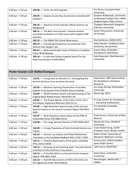| 6:00 pm $-7:30$ pm                  | 109.08 - TACH, the GCN Upgrade                                                                                            | Eric Burns, (Louisiana State<br>University)                                                               |
|-------------------------------------|---------------------------------------------------------------------------------------------------------------------------|-----------------------------------------------------------------------------------------------------------|
| 6:00 pm $-7:30$ pm                  | 109.09 - Galactic Cosmic Ray Accelerators Unveiled with<br>amEGO-X                                                        | Zorawar Wadiasingh, (University<br>of Maryland College Park / NASA<br><b>Goddard Space Flight Center)</b> |
| 6:00 pm -7:30 pm                    | 109.10 - Spectrum of the Isotropic Diffuse Gamma-ray<br>Background                                                        | Changam Meenakshi Rajagopal,<br>(Clemson University)                                                      |
| 6:00 pm $-7:30$ pm                  | 109.11 - The Best Case Scenario: Towards prompt<br>arcminute localization of a GW source with targeted GRB<br>searches    | Aaron Tohuvavohu, (University<br>of Toronto)                                                              |
| 6:00 pm $-7:30$ pm                  | 109.13 - The MMA/TDA Virtual Observatory                                                                                  | Rita Sambruna, (NASA GSFC)                                                                                |
| 6:00 pm $-7:30$ pm                  | 109.14 - Calculating the gamma-ray luminosity from<br>neutron star mergers' jets                                          | Haley Steuber, (California State<br>University, Sacramento)                                               |
| 6:00 pm $-7:30$ pm                  | 109.15 - Multi-wavelength Study of PeVatron Candidate<br><b>Pulsar Wind Nebulae</b>                                       | Jooyun Woo, (Columbia<br>Astrophysics Laboratory)                                                         |
| 6:00 pm $-7:30$ pm                  | 109.16 - A Late-time Galaxy-targeted Search for the<br>Radio Counterpart of GW190814                                      | Kate Alexander, (Northwestern<br>University)                                                              |
|                                     | <b>Poster Session 110: Stellar/Compact</b>                                                                                |                                                                                                           |
| 6:00 pm $-7:30$ pm                  | 110.01 - A long stare at Hercules X-1: investigating the<br>vertical structure of an accretion disc wind                  | Peter Kosec, (MIT Kavli Institute<br>for Astrophysics and Space<br>Research)                              |
| 6:00 pm $-7:30$ pm                  | 110.03 - Machine Learning Classification of Variable<br>Galactic X-ray Sources from Chandra Source Catalog                | Hui Yang, (George Washington<br>University)                                                               |
| 6:00 pm $-7:30$ pm                  | 110.04 - NICER Pulsation Search and Spectroscopy of the<br>Original Black Widow Pulsar, PSR B1957+20                      | Mason Ng, (MIT)                                                                                           |
| 6:00 pm $-7:30$ pm                  | 110.05 - The Proper Motion of the Pulsar J1124--59 in<br>the Galactic Supernova Remnant G292.0+1.8                        | Xi Long, (Center for Astrophysics<br>  Harvard & Smithsonian)                                             |
| $6:00 \text{ pm} - 7:30 \text{ pm}$ | 110.06 – High Resolution Spectroscopy of the Unusual<br>Spectral Feature in the Central Compact Object PSR J0821-<br>4300 | Eric Gotthelf, (Columbia<br>University)                                                                   |
| 6:00 pm $-7:30$ pm                  | 110.07 - Multi-frequency observations of the PWN of<br>Cannonball Pulsar PSR J0002+6216                                   | Pratik Kumar, (University of New<br>Mexico)                                                               |
| 6:00 pm $-7:30$ pm                  | 110.08 - The Long, Narrow Filament of PSR J2030+4415                                                                      | Martijn De Vries, (Stanford<br>University)                                                                |
| 6:00 pm $-7:30$ pm                  | 110.09 - A Large Population of Sub-threshold Gamma-ray<br>Pulsars                                                         | Yuzhe Robert Song, (CUNY<br>Graduate Center & amNH)                                                       |
| 6:00 pm $-7:30$ pm                  | 110.10 - Gamma-ray Eclipses and Orbital Modulation<br>Transitions in the Candidate Redback 4FGL J1702.7-5655              | Robin Corbet, (University of<br>Maryland- Baltimore County)                                               |
| 6:00 pm $-7:30$ pm                  | 110.11 - Chandra observations of the pulsar candidate<br>4FGL J1015.5-6030                                                | Jeremy Hare, (NASA Goddard<br>Space Flight Center)                                                        |
| 6:00 pm $-7:30$ pm                  | 110.12 - Spinning up and spinning down: the pulse period<br>evolution of ultra-luminous X-ray pulsars                     | Felix Fuerst, (ESA/ESAC)                                                                                  |
| 6:00 pm $-7:30$ pm                  | 110.13 - A Possible Glitch in a Second Central Compact<br>Object: PSR J0821-4300                                          | Karen Perez, (Columbia<br>University)                                                                     |
| 6:00 pm $-7:30$ pm                  | 110.14 - NuSTAR Observations of PSR J1101-6101 and<br>the Lighthouse Pulsar Wind Nebula                                   | Noel Klingler, (NASA-GSFC /<br>UMBC)                                                                      |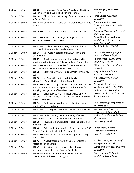| 6:00 pm $-7:30$ pm | 110.15 - "The Goose" Pulsar Wind Nebula of PSR J1016-<br>5857 in X-rays and Radio: The Birth of a Plerion                                                      | Noel Klingler, (NASA-GSFC /<br>UMBC)                                                            |
|--------------------|----------------------------------------------------------------------------------------------------------------------------------------------------------------|-------------------------------------------------------------------------------------------------|
| 6:00 pm $-7:30$ pm | 110.16 - Global Kinetic Modeling of the Intrabinary Shock<br>in Spider Pulsars                                                                                 | Jorge Cortes, (Columbia<br>University)                                                          |
| 6:00 pm $-7:30$ pm | 110.18 - On The Stellar Wind Of The Wolf-Rayet Star in IC<br>$10X-1$                                                                                           | Sayantan Bhattacharya,<br>(University of Massachusetts,<br>Lowell)                              |
| 6:00 pm $-7:30$ pm | 110.19 - The Wiki Catalog of High-Mass X-Ray Binaries                                                                                                          | Cody Cox, (Georgia College and<br>State University)                                             |
| 6:00 pm $-7:30$ pm | 110.21 - Investigating the physical origin of X-ray<br>variability in HMXBS with NuSTAR                                                                        | Pragati Pradhan, (MIT Kavli<br>Institute for Astrophysics and<br>Space Research)                |
| 6:00 pm $-7:30$ pm | 110.22 - Low kick velocities among HMXBs in the SMC<br>confirmed with the spatial correlation function                                                         | Arash Bodaghee, (GCSU)                                                                          |
| 6:00 pm $-7:30$ pm | 110.24 - StrayCats: A catalog of NuSTAR Stray Light<br>Observations                                                                                            | Brian Grefenstette, (California<br>Institute of Technology)                                     |
| 6:00 pm $-7:30$ pm | 110.27 - Random Angular Momentum in Convection:<br>Implications for Supergiant Collapse to Form Black Holes                                                    | Andrea Antoni, (University of<br>California, Berkeley)                                          |
| 6:00 pm $-7:30$ pm | 110.28 - Neutron Star Crustal Deformation Limits for<br><b>Next-Generation Gravitational-Wave Detectors</b>                                                    | Chloe Hess, (Carnegie Mellon<br>University)                                                     |
| 6:00 pm $-7:30$ pm | 110.29 - Magnetic-Driving Of Polar UFOs In MAXI J1348-<br>630                                                                                                  | Keigo Fukumura, (James<br><b>Madison University)</b>                                            |
| 6:00 pm $-7:30$ pm | 110.30 - Jet Formation in General-Relativistic,<br>Magnetized Bondi-Hoyle-Lyttleton Accretion                                                                  | Nick Kaaz, (Northwestern<br>University)                                                         |
| 6:00 pm $-7:30$ pm | 110.31 - Short and Long GRBs with Simultaneous Thermal<br>and Non-Thermal Emission Signatures: Laboratories for<br>Studying the Dynamics of Relativistic Jets. | Sylvain Guiriec, (George<br>Washington University / NASA<br><b>Goddard Space Flight Center)</b> |
| 6:00 pm $-7:30$ pm | 110.33 - UNDERSTANDING THE PROPERTIES OF X-RAY<br>BINARY JETS WITH THE MODERN LOW-FREQUENCY RADIO<br><b>INTERFEROMETERS</b>                                    | Jaiverdhan Chauhan, (Montana<br>State University)                                               |
| 6:00 pm -7:30 pm   | 110.34 - Evolution of accretion disc reflection spectra<br>due to a Type I X-ray burst                                                                         | Julia Speicher, (Georgia Institute<br>of Technology)                                            |
| 6:00 pm $-7:30$ pm | 110.35 - Low-Frequency QPOs as Coronal Normal Modes.                                                                                                           | Vanessa Lopez-Barquero,<br>(University of Cambridge)                                            |
| 6:00 pm $-7:30$ pm | 110.37 - Understanding the non-linearity of Quasi-<br>Periodic Oscillations through dynamical transitions                                                      | Kavitha Arur, (Georgia Institute<br>of Technology)                                              |
| 6:00 pm $-7:30$ pm | 110.38 - NICER reverberation lags in black hole low-mass<br>X-ray binaries                                                                                     | Jingyi Wang, (MIT)                                                                              |
| 6:00 pm $-7:30$ pm | 110.40 - Origin and Interpretation of Spectral Lags in GRB<br>Prompt Emission with Multiple Components                                                         | Alyson Joens, (George<br><b>Washington University)</b>                                          |
| 6:00 pm $-7:30$ pm | 110.41 - A New Source of X-ray Time Lags in Accreting<br><b>Black Holes</b>                                                                                    | Javier Garcia, (Caltech)                                                                        |
| 6:00 pm $-7:30$ pm | 110.42 - A Spectroscopic Angle on Central Engines in<br><b>Accreting Neutron Stars</b>                                                                         | Nicolas Trueba, (University of<br>Michigan, Ann Arbor)                                          |
| 6:00 pm $-7:30$ pm | 110.43 - Accretion onto compact object through<br>stationary shock: effects of General Relativity                                                              | Suman Kumar Kundu, (Syracuse<br>University)                                                     |
| 6:00 pm $-7:30$ pm | 110.45 - Radius Constraints from NICER-NuSTAR<br>observations of the NS LMXB Cygnus X-2                                                                        | Renee Ludlam, (California<br>Institute of Technology)                                           |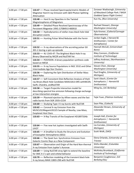| 6:00 pm $-7:30$ pm | 110.47 - Phase-resolved Spectropolarimetric Models of                                               | Zorawar Wadiasingh, (University     |
|--------------------|-----------------------------------------------------------------------------------------------------|-------------------------------------|
|                    | Magnetar Hard X-ray Emission with QED Photon Splitting                                              | of Maryland College Park / NASA     |
|                    | Attenuation                                                                                         | <b>Goddard Space Flight Center)</b> |
| 6:00 pm $-7:30$ pm | 110.48 - Hard X-ray Opacities in the Twisted                                                        | Kun Hu, (Rice University)           |
|                    | <b>Magnetospheres of Magnetars</b>                                                                  |                                     |
| 6:00 pm $-7:30$ pm | 110.49 - Detailed Phase Resolved Spectroscopy of the                                                | Rachael Stewart, (George            |
|                    | Persistent Magnetar 1RXS J170849.0-400910                                                           | <b>Washington University)</b>       |
| 6:00 pm $-7:30$ pm | 110.50 - Hydrodynamics of stellar-mass black hole tidal                                             | Kyle Kremer, (Caltech/Carnegie      |
|                    | disruption events                                                                                   | Observatories)                      |
|                    |                                                                                                     | Jordan Eagle, (Harvard &            |
| 6:00 pm $-7:30$ pm | 110.51 - Hunting Pulsar Wind Nebulae with the Fermi-                                                | Smithsonian   Center for            |
|                    | LAT                                                                                                 | Astrophysics)                       |
|                    |                                                                                                     | Hannah McCall, (Universitaet        |
| 6:00 pm $-7:30$ pm | 110.52 - X-ray observations of the accreting pulsar GX                                              |                                     |
|                    | 301-2 during a spin-up episode                                                                      | Bonn)                               |
| 6:00 pm $-7:30$ pm | 110.53 - 4U 1543-47: The Brightest Black Hole X-ray                                                 | Riley Connors, (California          |
|                    | Binary Observed by NICER and NuSTAR Yet                                                             | Institute of Technology)            |
| 6:00 pm $-7:30$ pm | 110.54 - POSYDON: A binary population synthesis code                                                | Jeffrey Andrews, (Northwestern      |
|                    | based on MESA                                                                                       | University)                         |
| 6:00 pm $-7:30$ pm | 110.55 - X-ray Source Populations in NGC 3532 and Other                                             | Steven Chen, (George                |
|                    | Intermediate Age Star Clusters                                                                      | <b>Washington University)</b>       |
| 6:00 pm $-7:30$ pm | 110.56 - Exploring the Spin Distribution of Stellar Mass                                            | Paul Draghis, (University of        |
|                    | <b>Black Holes</b>                                                                                  | Michigan)                           |
| 6:00 pm $-7:30$ pm | 110.57 - Self-Consistent Disk-Reflection Analysis of theX-                                          | Santi Ubach, (Center for            |
|                    | ray Binary Black Hole Candidate MAXIJ1813-095 withNICER,                                            | Astrophysics   Harvard &            |
|                    | Swift, Chandra, andNuSTAR                                                                           | Smithsonian)                        |
| 6:00 pm $-7:30$ pm | 110.58 - Target-Projectile Interaction model for                                                    | Ming Gu, (UC Berkeley)              |
|                    | describing spectral line emission following charge exchange                                         |                                     |
|                    | at low interaction energies                                                                         |                                     |
| 6:00 pm $-7:30$ pm | 110.59 - Plasmoid ejection by Alfven waves and the fast                                             | Yajie Yuan, (Flatiron Institute)    |
|                    | radio bursts from SGR 1935+2154                                                                     |                                     |
| 6:00 pm $-7:30$ pm | 110.60 - Studying Type-I X-ray bursts with NuSTAR                                                   | Sean Pike, (Caltech)                |
| 6:00 pm $-7:30$ pm | 110.62 - Coronal X-ray Emission from the                                                            | Alexander Brown, (University of     |
|                    | MUSCLES/MegamUSCLES Sample of Nearby, Low-Mass,                                                     | Colorado)                           |
|                    | <b>Exoplanet Host Stars</b>                                                                         |                                     |
| 6:00 pm $-7:30$ pm | 110.63 - X-Ray Transits of the Exoplanet HD189733Ab                                                 | Joseph Hall, (Center for            |
|                    |                                                                                                     | Astrophysics   Harvard &            |
|                    |                                                                                                     | Smithsonian)                        |
| 6:00 pm $-7:30$ pm | 110.64 - Five new hot Jupiters investigated with Swift-                                             | Lia Corrales, (University of        |
|                    | <b>UVOT</b>                                                                                         | Michigan)                           |
| 6:00 pm $-7:30$ pm | 110.65 - A SmallSat to Study the Structure and Evolution                                            | Scott Wolk, (SAO)                   |
|                    | of ExoJupiter Atmospheres (SEEJ)                                                                    |                                     |
| 6:00 pm $-7:30$ pm | 110.66 - The Quiet Sun: Synchrotron Emission from                                                   | Elena Orlando, (University of       |
|                    | Galactic Cosmic Rays as a New Component                                                             | Trieste)                            |
| 6:00 pm $-7:30$ pm | 110.67 - Observation and Origin of the Hard Non-thermal                                             | Shifra Mandel, (Columbia            |
|                    | X-ray Emission from Jupiter's Aurorae                                                               | University)                         |
| 6:00 pm $-7:30$ pm |                                                                                                     | McKinley Brumback, (California      |
|                    | 110.69 - Using NuSTAR stray light to extend the baseline<br>for SMC X-1's spin and orbital behavior | Institute of Technology)            |
|                    |                                                                                                     |                                     |
| 6:00 pm $-7:30$ pm | 110.70 - Reflection modeling of the transient black hole                                            | Benjamin Coughenour, (UC            |
|                    | X-ray binary MAXI J1803-298 with NuSTAR                                                             | Berkeley/SSL)                       |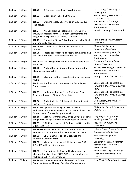| 6:00 pm $-7:30$ pm  | 110.71 - X-Ray Binaries in the ZTF Alert Stream                                                                                                              | David Wang, (University of<br>Washington)                                    |
|---------------------|--------------------------------------------------------------------------------------------------------------------------------------------------------------|------------------------------------------------------------------------------|
| 6:00 pm $-7:30$ pm  | 110.72 - Expansion of the SNR 0509-67.5                                                                                                                      | Benson Guest, (UMCP/NASA<br>GSFC/CRESST II)                                  |
| 6:00 pm $-7:30$ pm  | 110.73 - Chandra Legacy Observation of LMC N132D:<br><b>First Results</b>                                                                                    | Paul Plucinsky, (Center for<br>Astrophysics   Harvard &<br>Smithsonian)      |
| 6:00 pm $-7:30$ pm  | 110.74 - Analysis Pipeline Tools and Discrete Source<br>Imaging Capabilities for the Compton Spectrometer and<br>Imager Small Explorer (COSI-SMEX) Telescope | Jarred Roberts, (UC San Diego)                                               |
| 6:00 pm $-7:30$ pm  | 110.75 - Comparing Binary Pulsar Properties in the Field<br>and in Globular Clusters                                                                         | Rachel Zhang, (Northwestern<br>University)                                   |
| 6:00 pm $-7:30$ pm  | 110.76 - A stellar-mass black hole in a supernova<br>remnant                                                                                                 | Mayura Balakrishnan,<br>(University of Michigan)                             |
| 6:00 pm $-7:30$ pm  | 110.78 - Fast Spectroscopy And Spectral-Timing Mapping<br>of Bright Black Hole X-ray Binaries with NICER                                                     | James F Steiner, (Center for<br>Astrophysics   Harvard &<br>Smithsonian)     |
| 6:00 pm $-7:30$ pm  | 110.79 - The Astrophysics of Binary Radio Pulsars in the<br>Era of CHIME                                                                                     | Emmanuel Fonseca, (West<br>Virginia University)                              |
| 6:00 pm $-7:30$ pm  | 110.80 - A Multi Domain Study of Major Flaring in the<br>Microquasar Cygnus X-3                                                                              | Michael McCollough, (Center for<br>Astrophysics   Harvard &<br>Smithsonian)  |
| 6:00 pm $-7:30$ pm  | 110.81 - Magnetar outburst deciphered under the lens of<br><b>NICER</b>                                                                                      | George Younes, (NASA/GSFC)                                                   |
| 6:00 pm $-7:30$ pm  | 110.83 - A Robust Interpretation of the Fermi Pulsar<br>Phenomenology                                                                                        | Constantinos Kalapotharakos,<br>(University of Maryland, College<br>Park)    |
| 6:00 pm $-7:30$ pm  | 110.85 - Understanding the Pulsar Multipolar Field<br>Structure through NICER and Fermi data                                                                 | Constantinos Kalapotharakos,<br>(University of Maryland, College<br>Park)    |
| 6:00 pm $-7:30$ pm  | 110.86 - A Multi-Mission Catalogue of Ultraluminous X-<br>ray Source Candidates                                                                              | Dom Walton, (University of<br>Hertfordshire)                                 |
| 6:00 pm $-7:30$ pm  | 110.87 - Dynamic modeling and virtual-reality<br>exploration of the X-ray emission and accretion flow in the<br>Galactic center from colliding stellar winds | Christopher Russell, (University<br>of Delaware)                             |
| 6:00 pm $-7:30$ pm  | 110.88 - Vela pulsar from hard X-ray to GeV gamma-rays:<br>energy-resolved lightcurves and phase-resolved spectra                                            | Oleg Kargaltsev, (George<br><b>Washington University)</b>                    |
| 6:00 pm $-7:30$ pm  | 110.89 - NICER Spectroscopy of Outflows and Obscuration<br>in GRS 1915+105                                                                                   | Joey Neilsen, (Villanova<br>University)                                      |
| 6:00 pm $-7:30$ pm  | 110.90 - Radiative Relativistic MHD Simulations of<br>Neutron Star Column Accretion in Cartesian Geometry                                                    | Lizhong Zhang, (University of<br>California, Santa Barbara)                  |
| 6:00 pm $-7:30$ pm  | 110.91 - GRMHD Simulations of Misaligned and<br><b>Truncated Accretion Disks</b>                                                                             | Matthew Liska, (Harvard<br>University)                                       |
| 6:00 pm $-7:30$ pm  | 110.92 - Mapping the X-ray variability curves of GRS<br>1915+105 with machine learning                                                                       | Benjamin Ricketts, (Center for<br>Astrophysics   Harvard &<br>Smithsonian)   |
| 6:00 pm $-7:30$ pm  | 110.93 - Constraining the Spin and Inclination of the<br>Maximal Kerr Black Hole 4U1957+11 Using Simultaneous<br>NICER and NuSTAR Observations               | Erin Barillier, (Dept. of Physics,<br>Washington University in St.<br>Louis) |
| 6:00 pm $- 7:30$ pm | 110.94 - The X-ray Binary Population of the Galactic<br>Center as Revealed Through Decades of Observations                                                   | Kaya Mori, (Columbia University)                                             |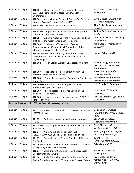| 6:00 pm $- 7:30$ pm | 110.95 - Models for the X-Ray Emission of Type Ia<br>Supernova Remnants in Different Circumstellar<br>Environments                        | Travis Court, (University of<br>Pittsburgh)                             |
|---------------------|-------------------------------------------------------------------------------------------------------------------------------------------|-------------------------------------------------------------------------|
| 6:00 pm $- 7:30$ pm | 110.96 - Identifying the Origins of Gamma-Ray Emission<br>from the Cygnus Cocoon with Swift-XRT                                           | David Guevel, (University of<br>Wisconsin, Madison)                     |
| 6:00 pm $- 7:30$ pm | 110.97 - Collisionless black hole accretion                                                                                               | Alisa Galishnikova, (Princeton<br>University)                           |
| 6:00 pm $- 7:30$ pm | 110.98 - Competitive X-Ray and Optical Cooling in the<br>Collisionless Shocks of WR 140                                                   | Andrew Pollock, (University of<br>Sheffield)                            |
| 6:00 pm - 7:30 pm   | 110.99 - Dynamic modeling of the X-ray spectra and line<br>profiles for the massive-star binary eta Carinae                               | Christopher Russell, (University<br>of Delaware)                        |
| 6:00 pm $- 7:30$ pm | 110.100 - High-energy Transmission Grating<br>Spectroscopy and 3D Wind Shock Simulations of the<br>Magnetic Massive Star theta1 Orionis C | Marc Gagne, (West Chester<br>University)                                |
| 6:00 pm $- 7:30$ pm | 110.101 - The Nature of X-rays from Young Stellar<br>Objects in the Orion Nebula Cluster - A Chandra HETG<br>Legacy Project               | Norbert Schulz, (MIT)                                                   |
| 6:00 pm $- 7:30$ pm | 110.102 - X-Ray Stellar Cycles at Low Rossby Numbers                                                                                      | Zackery Irving, (Center for<br>Astrophysics   Harvard &<br>Smithsonian) |
| 6:00 pm $- 7:30$ pm | 110.103 - Propagation of a strong fast wave in the<br>magnetosphere of a neutron star                                                     | Yuran Chen, (Colorado<br>University Boulder)                            |
| 6:00 pm $- 7:30$ pm | 110.104 - Energy Dissipation and Gamma-ray Emission in<br><b>Young Pulsars</b>                                                            | Hayk Hakobyan, (Princeton<br>Plasma Physics Laboratory)                 |
| 6:00 pm $- 7:30$ pm | 110.106 - The Neutron Star in Puppis A: Atomic<br>Photospheric Spectroscopy at Last?                                                      | Frits Paerels, (Columbia Univ.)                                         |
| 6:00 pm $- 7:30$ pm | 110.107 - The Photospheric X-ray Spectrum of the<br>Neutron Star in Puppis A                                                              | John Groger, (Columbia<br>University)                                   |
| 6:00 pm $- 7:30$ pm | 110.108 - Nustar's view on the transient type B QPO of<br>MAXI J1348-630                                                                  | Federico Vincentelli, (Villanova<br>University)                         |
|                     | <b>Poster Session 111: Time Domain Astrophysics</b>                                                                                       |                                                                         |
| 6:00 pm $- 7:30$ pm | 111.01 - A Search For Relativistic Explosions in a Sample<br>of ZTF BL-Ic SNe                                                             | Gokul Srinivasaragavan,<br>(University of Maryland College<br>Park)     |
| 6:00 pm $- 7:30$ pm | 111.02 - Optical darkness in short-duration gamma-ray<br>bursts                                                                           | Caden Gobat, (George<br><b>Washington University)</b>                   |
| 6:00 pm $- 7:30$ pm | 111.03 - Calculating Radio Transient Rates Using Realistic<br>Simulations                                                                 | Sarah Chastain, (George<br><b>Washington University)</b>                |
| 6:00 pm $- 7:30$ pm | 111.04 - A luminous X-ray transient in SDSS<br>J143359.16+400636.0: a likely tidal disruption event                                       | Murray Brightman, (California<br>Institute of Technology)               |
| 6:00 pm $- 7:30$ pm | 111.05 - Demystifying the Prompt Emission of Gamma<br><b>Ray Bursts</b>                                                                   | Tyler Parsotan,<br>(UMBC/Goddard/CRESST)                                |
| 6:00 pm $- 7:30$ pm | 111.06 - A One-Off Fast Radio Burst Localized to its Host<br>Galaxy using VLBI with CHIME/FRB                                             | Calvin Leung, (MIT)                                                     |
| 6:00 pm $- 7:30$ pm | 111.07 - Searching for X-ray Binaries with Large-Scale<br><b>Optical Variability Surveys</b>                                              | Eric Bellm, (University of<br>Washington)                               |
| 6:00 pm $- 7:30$ pm | 111.10 - Stellar Variability in the Orion Nebular Cluster<br>Region from the Chandra HETG Very Large Program Dataset                      | Joy Nichols, (Center for<br>Astrophysics   Harvard &<br>Smithsonian)    |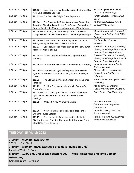| 6:00 pm $- 7:30$ pm | 111.12 - GALI (Gamma-ray Burst Localizing Instrument) A<br>New GRB Detector Concept                                                                                             | Roi Rahin, (Technion - Israel<br>Institute of Technology)                                                 |
|---------------------|---------------------------------------------------------------------------------------------------------------------------------------------------------------------------------|-----------------------------------------------------------------------------------------------------------|
| 6:00 pm $- 7:30$ pm | 111.13 - The Fermi-LAT Light Curve Repository                                                                                                                                   | Janeth Valverde, (UMBC/NASA<br>GSFC)                                                                      |
| 6:00 pm $- 7:30$ pm | 111.14 - The Observable X-Ray Signatures of Precessing<br>Accretion Disks Predicted by the Post-Process Raytracing of<br>General Relativistic Magnetohydrodynamical Simulations | Andrew West, (Washington<br>University in St. Louis)                                                      |
| 6:00 pm $- 7:30$ pm | 111.15 - Searching for axion-like particles from core-<br>collapse supernovae with Fermi LAT's low energy technique                                                             | Milena Crnogorcevic, (University<br>of Maryland, College Park/NASA<br>Goddard)                            |
| 6:00 pm $- 7:30$ pm | 111.16 - A Mechanism for Interacting Supernovae and<br>Rebrightening without Narrow Line Emission                                                                               | Eric Coughlin, (Syracuse<br>University)                                                                   |
| 6:00 pm $- 7:30$ pm | 111.17 - Ultra-long Period Magnetars and the Low-Twist<br><b>Magnetar Model of FRBs</b>                                                                                         | Zorawar Wadiasingh, (University<br>of Maryland College Park / NASA<br><b>Goddard Space Flight Center)</b> |
| 6:00 pm $- 7:30$ pm | 111.18 - Strong Lensing of Confined Magnetar Burst<br><b>Fireballs</b>                                                                                                          | Zorawar Wadiasingh, (University<br>of Maryland College Park / NASA<br><b>Goddard Space Flight Center)</b> |
| 6:00 pm - 7:30 pm   | 111.19 - Swift and the Future of Time Domain Astronomy                                                                                                                          | Jamie Kennea, (Pennsylvania<br>State University)                                                          |
| 6:00 pm $- 7:30$ pm | 111.20 - Shadows at Night, and Exposed to the Light:<br>Type-Ia Supernova Classification Using Gamma-Ray Light<br>Curves                                                        | Richard Miller, (Johns Hopkins<br><b>University Applied Physics</b><br>Laboratory)                        |
| 6:00 pm $- 7:30$ pm | 111.21 - The STROBE-X Mission Concept and Its Science<br>Potential                                                                                                              | Thomas Maccarone, (Texas Tech<br>University)                                                              |
| 6:00 pm $- 7:30$ pm | 111.22 - Probing Electron Acceleration in Gamma-Ray<br><b>Burst Afterglows</b>                                                                                                  | Alexander van der Horst,<br>(George Washington University)                                                |
| 6:00 pm $- 7:30$ pm | 111.23 - The La Silla QUEST Optical Variability Survey:<br>Optical Cross-Matches to Chandra and XMM Source<br>Catalogs                                                          | Paolo Coppi, (Yale University)                                                                            |
| 6:00 pm $- 7:30$ pm | 111.25 - XANDER: X-ray ANomaly DEtectoR                                                                                                                                         | Juan Martinez Galarza,<br>(Smithsonian Astrophysical<br>Observatory)                                      |
| 6:00 pm $- 7:30$ pm | 111.26 - X-ray Transients and Transits Hidden in the<br><b>Chandra Source Catalog</b>                                                                                           | Amanda Chavez, (San Diego<br><b>State University)</b>                                                     |
| 6:00 pm $- 7:30$ pm | 111.27 - The Luminosity Function, Intrinsic Redshift<br>Distribution, and Emission Timescale Distribution of Fermi-<br><b>GBM GRBs From Collapsars</b>                          | Rachel Hamburg, (University of<br>Alabama in Huntsville)                                                  |

#### **TUESDAY, 15 March 2022**

#### **7:00 am – 6:00 pm, Registration**

17<sup>th</sup> Floor/Coat Check

#### **7:30 am – 8:30 am, HEAD Executive Breakfast (Invitation Only)**

Parkview West – CL Floor

## **8:30 am – 10:00 am, Oral Session Session: 200 — Multi-Messenger and Time Domain Astronomy**

Grand Ballroom  $-17$ <sup>th</sup> Floor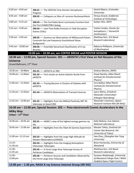| $8:30$ am $-8:45$ am                                           | 200.01 - The VERITAS Time-Domain Astrophysics<br>Program                                                               | Deivid Ribeiro, (Columbia<br>University)                                                                  |
|----------------------------------------------------------------|------------------------------------------------------------------------------------------------------------------------|-----------------------------------------------------------------------------------------------------------|
| $8:45$ am $-9:00$ am                                           | 200.02 - Collapsars as Sites of r-process Nucleosynthesis                                                              | Shreya Anand, (California<br>Institute of Technology)                                                     |
| $9:00$ am $-9:15$ am                                           | 200.03 - The Fast Radio Burst Luminosity Function from<br>the First CHIME/FRB Catalog                                  | Kaitlyn Shin, (MIT)                                                                                       |
| $9:15$ am $-9:30$ am                                           | 200.04 - Late-Time Radio Emission in Tidal Disruption<br>Events (TDEs)                                                 | Yvette Cendes, (Center for<br>Astrophysics   Harvard &<br>Smithsonian)                                    |
| $9:30$ am $-9:45$ am                                           | 200.05 - Gamma-ray Observations of Millisecond Pulsars<br>Constrain the Low-frequency Gravitational Wave<br>Background | Matthew Kerr, (US Naval<br><b>Research Laboratory)</b>                                                    |
| $9:45$ am $-10:00$ am                                          | 200.06 - Ensemble Dynamical Classification of X-ray<br><b>Binaries</b>                                                 | Rebecca Phillipson, (University<br>of Washington)                                                         |
|                                                                | 10:00 am - 10:30 am, am COFFEE BREAK and POSTER SESSION                                                                |                                                                                                           |
|                                                                | 10:30 am - 12:00 pm, Special Session: 201 - eROSITA's First View on Hot Baryons of the                                 |                                                                                                           |
| <b>Universe</b>                                                |                                                                                                                        |                                                                                                           |
| Grand Ballroom, 17 <sup>th</sup> Floor                         |                                                                                                                        |                                                                                                           |
|                                                                |                                                                                                                        |                                                                                                           |
| $10:30$ am $- 10:48$ am                                        | 201.01 - eROSITA on SRG                                                                                                | Andrea Merloni, (MPE)                                                                                     |
| $10:48$ am $-11:06$ am                                         | 201.02 - First results on Active Galactic Nuclei from<br>eROSITA                                                       | Kirpal Nandra, (Max Planck<br>Institute for Extraterrestrial<br>Physics)                                  |
| $11:06$ am $-11:24$ am                                         | 201.03 - Tracing Baryons in Clusters of Galaxies with<br>eROSITA                                                       | Esra Bulbul, (Max Planck<br>Institute for Extraterrestrial<br>Physics)                                    |
| 11:24 am $-$ 11:42am                                           | 201.04 - eROSITA Observations of Transient Sources                                                                     | Joern Wilms, (Friedrich-<br>Alexander-Universitaet<br>Erlangen-Nuernberg)                                 |
| 11:42 am $-$ 12:00 pm                                          | 201.05 - Highlights from the Mikhail Pavlinsky ART-XC<br>telescope on board SRG                                        | Alexander Lutovinov, (Space<br>Research Institute RAS (IKI RAS))                                          |
|                                                                | 10:30 am - 12:00 pm, Special Session: 202 - Peta-electronvolt Cosmic Accelerators in the                               |                                                                                                           |
| <b>Milky Way</b>                                               |                                                                                                                        |                                                                                                           |
| Urban $-17^{\text{th}}$ Floor                                  |                                                                                                                        |                                                                                                           |
| 10:30 am $-$ 10:45 am                                          | 202.01 - HAWC's view of the highest-energy gamma-ray<br>sky                                                            | Kelly Malone, (Los Alamos<br><b>National Laboratory)</b>                                                  |
| 10:45 am $-$ 11:00 am                                          | 202.02 - Highlights from the Tibet AS Gamma Experiment                                                                 | Masato Takita, (Institute for<br>Cosmic Ray Research, the<br>University of Tokyo)                         |
| 11:00 am -11:15 am                                             | 202.03 - Highlights from the Large High Altitude Air<br>Shower Observatory (LHAASO)                                    | Hao Zhou, (Shanghai Jiao Tong<br>University)                                                              |
| $11:15-$<br>$11:30$ am                                         | 202.04 - Highlights from the Imaging Atmospheric<br><b>Cherenkov Telescopes</b>                                        | Brian Humensky, (University of<br>Maryland)                                                               |
| $11:30-$<br>$11:45$ am                                         | 202.05 - A Fermi Large Area Telescope Survey of<br><b>PeVatron Candidates</b>                                          | Matthew Kerr, (US Naval<br><b>Research Laboratory)</b>                                                    |
| $11:45 -$<br>12:00 pm                                          | 202.06 - PeVatron Sources and Candidates Observed by<br>the Fermi Large Area Telescope                                 | Zorawar Wadiasingh, (University<br>of Maryland College Park / NASA<br><b>Goddard Space Flight Center)</b> |
| 12:00 pm – 1:30 pm, NASA X-ray Science Interest Group (XR SIG) |                                                                                                                        |                                                                                                           |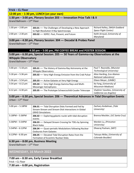#### **Frick – CL Floor**

#### **12:00 pm – 1:30 pm, LUNCH (on your own)**

#### **1:30 pm – 3:00 pm, Plenary Session 203 — Innovation Prize Talk I & II**

Grand Ballroom  $-17$ <sup>th</sup> Floor

| 1:30 pm $-$ 2:00 pm                 | 203.01 - The Challenges of Developing a New Approach<br>to High-Resolution X-Ray Spectroscopy | Richard Kelley, (NASA Goddard<br>Space Flight Center) |
|-------------------------------------|-----------------------------------------------------------------------------------------------|-------------------------------------------------------|
| $2:00 \text{ pm} - 2:30 \text{ pm}$ | 203.02 - XSPEC: Past, Present, and Future                                                     | Keith Arnaud, (University of<br>Maryland)             |

#### **3:00 pm – 4:30 pm, Plenary Session: 304 — Decadal & Probes Panel** Grand Ballroom  $-17<sup>th</sup>$  Floor

#### **4:30 pm – 5:00 pm, PM COFFEE BREAK and POSTER SESSION**

#### **5:00 pm – 6:30 pm, Special Session: 205 — 50 Years of Gamma-ray Observations at the Whipple Observatory**

Grand Ballroom  $-17<sup>th</sup>$  Floor

| 5:00 pm $-$ 5:18 pm                 | 205.01 - The History of Gamma-Ray Astronomy at the      | Paul T. Reynolds, (Munster         |
|-------------------------------------|---------------------------------------------------------|------------------------------------|
|                                     | <b>Whipple Observatory</b>                              | <b>Technological University)</b>   |
| 5:18 pm $-$ 5:36 pm                 | 205.02 - Very-High-Energy Emission from the Crab Pulsar | Alice Harding, (Los Alamos         |
|                                     |                                                         | <b>National Laboratory)</b>        |
| 5:36 pm $-$ 5:54 pm                 | 205.03 - Active Galaxies at Very High Energy            | Eileen Meyer, (UMBC)               |
| 5:54 pm $-6:12$ pm                  | 205.04 - Very High-Energy Gamma Rays and Multi-         | Ke Fang, (University of            |
|                                     | <b>Messenger Astrophysics</b>                           | Wisconsin-Madison)                 |
| $6:12 \text{ pm} - 6:30 \text{ pm}$ | 205.05 - The Prototype Schwarzschild-Couder Telescope   | Vladimir Vassiliev, (University of |
|                                     |                                                         | California Los Angeles)            |

#### **5:00 pm – 6:30 pm, Special Session: 206 — Theoretical Advances in Tidal Disruption Events** Urban –  $17<sup>th</sup>$  Floor

| 5:00 pm $-$ 5:18PM | 206.01 - Tidal Disruption Disks Formed and Fed by<br>Stream-Stream and Stream-Disk Interactions in Global<br><b>GRHD Simulations</b> | Zachary Andalman, (Yale<br>University)             |
|--------------------|--------------------------------------------------------------------------------------------------------------------------------------|----------------------------------------------------|
| $5:18PM - 5:36PM$  | 206.02 - Exploring galactic nuclei with tidal disruption<br>events                                                                   | Brenna Mockler, (UC Santa Cruz)                    |
| $5:36PM - 5:54PM$  | 206.03 - Delayed Stream Crossing for TDEs by Spinning<br><b>Black Holes</b>                                                          | Wenbin Lu, (Princeton<br>University)               |
| $5:54PM - 6:12PM$  | 206.04 — Quasi-periodic Modulations following Nuclear<br><b>Outbursts from Galaxies</b>                                              | Dheeraj Pasham, (MIT)                              |
| $6:12PM - 6:30 pm$ | 206.05 - Elevated Tidal Disruption Rates from the<br><b>Formation of Eccentric Nuclear Disks</b>                                     | Tatsuya Akiba, (University of<br>Colorado Boulder) |

## **6:30 pm – 8:00 pm, Business Meeting**

Grand Ballroom  $-17<sup>th</sup>$  Floor

### **WEDNESDAY, 16 March 2022**

#### **7:00 am – 8:30 am, Early Career Breakfast**

Frick – CL Floor

**7:30 am – 6:00 pm, Registration**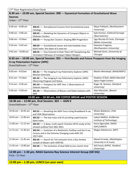17<sup>th</sup> Floor Registration/Coat Check

#### **8:30 am – 10:00 am, Special Session: 300 — Dynamical Formation of Gravitational Wave Sources**

Urban –  $17<sup>th</sup>$  Floor

| $8:30$ am $-8:48$ am                                                                               | <b>300.01</b> - Astrophysical Lessons from Gravitational-wave | Maya Fishbach, (Northwestern    |
|----------------------------------------------------------------------------------------------------|---------------------------------------------------------------|---------------------------------|
|                                                                                                    | Catalogs                                                      | University)                     |
| $8:48$ am $-9:06$ am                                                                               | <b>300.02</b> - Modeling the Dynamics of Compact Objects in   | Kyle Kremer, (Caltech/Carnegie  |
|                                                                                                    | <b>Globular Clusters</b>                                      | Observatories)                  |
| $9:06$ am $-9:24$ am                                                                               | <b>300.03</b> - Young Star Clusters: Shaping BBH Progenitors  | Ugo Niccolo Di Carlo, (Carnegie |
|                                                                                                    |                                                               | <b>Mellon University)</b>       |
| $9:24$ am $-9:42$ am                                                                               | <b>300.04</b> — Gravitational waves and intermediate-mass     | Giacomo Fragione,               |
|                                                                                                    | black holes: the dawn of a new era                            | (Northwestern University)       |
| $9:42$ am $-10:00$ am                                                                              | 300.05 - One Channel to Rule Them All? Deciphering the        | Michael Zevin, (University of   |
|                                                                                                    | <b>Formation Pathways of Compact Object Mergers</b>           | Chicago)                        |
| 8:30 am $-$ 10:00 am, Special Session: 301 $-$ First Results and Future Prospects from the Imaging |                                                               |                                 |
| <b>X-ray Polarization Explorer (IXPE)</b>                                                          |                                                               |                                 |
| Grand Ballroom $-17$ <sup>th</sup> Floor                                                           |                                                               |                                 |
|                                                                                                    |                                                               |                                 |
| $8:30$ am $-8:52$ am                                                                               | <b>301.01</b> - The Imaging X-ray Polarimetry Explorer (IXPE) | Martin Weisskopf, (NASA/MSFC)   |

|                      | <b>Mission Overview</b>                                         |                                |
|----------------------|-----------------------------------------------------------------|--------------------------------|
| $8:52$ am $-9:14$ am | 301.02 - The Imaging X-ray Polarimetry Explorer (IXPE)          | Stephen O'Dell, (NASA Marshall |
|                      | <b>Observing Program and Status</b>                             | <b>Space Flight Center)</b>    |
| $9:14$ am $-9:36$ am | <b>301.03</b> - Prospects for IXPE Year 1 Observations of       | Roger W. Romani, (Stanford     |
|                      | <b>Galactic Sources</b>                                         | University)                    |
| $9:36$ am $-9:58$ am | <b>301.04</b> - Observations of Blazars and Radio Galaxies with | Alan Marscher, (Boston         |
|                      | <b>IXPE</b>                                                     | University)                    |
|                      |                                                                 |                                |

**10:00 am – 10:30 am, AM COFFEE BREAK and POSTER SESSION**

#### **10:30 am – 12:00 pm, Oral Session: 302 — AGN II**

Grand Ballroom  $-17^{\text{th}}$  Floor

| 10:30 am $-$ 10:45 am | <b>302.01</b> - Resolving the AGN Torus Using Broadband X-ray<br>and VLBI Observations                                    | Mislav Balokovic, (Yale<br>University)                  |
|-----------------------|---------------------------------------------------------------------------------------------------------------------------|---------------------------------------------------------|
| 10:45 am $-$ 11:00 am | 302.02 - The low-mass end of accreting supermassive<br>black holes                                                        | Labani Mallick, (California<br>Institute of Technology) |
| 11:00 am $-$ 11:15 am | 302.03 - A deep, multi-epoch Chandra HETG study of the<br>ionized outflow from NGC 4051                                   | Anna Ogorzalek, (NASA<br>GSFC/UMCP)                     |
| 11:15 am $-$ 11:30 am | 302.04 - Evolution of a Relativistic Outflow and the X-ray<br>Corona and in the Extreme Changing-Look AGN 1ES<br>1927+654 | Megan Masterson, (MIT)                                  |
| 11:30 am $-$ 11:45 am | <b>302.05</b> - Search for TeV emission from a flux-limited<br>sample of blazars with VERITAS                             | Manel Errando, (Washington<br>University in St Louis)   |
| 11:45 am $-$ 12:00 pm | <b>302.06</b> - The evolution of dual AGN across cosmic time                                                              | Adi Foord, (KIPAC, Stanford<br>University)              |

#### **12:00 pm – 1:30 pm, NASA Gamma Ray Science Interest Group (GR SIG)** Frick – CL Floor

**12:00 pm – 1:30 pm, LUNCH (on your own)**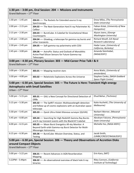#### **1:30 pm – 3:00 pm, Oral Session: 204 — Missions and Instruments** Grand Ballroom  $-17<sup>th</sup>$  Floor 1:30 pm – 1:45 pm **204.01** — The Rockets for Extended-source X-ray Spectroscopy Drew Miles, *(The Pennsylvania State University)* 2:00 pm – 2:15 pm **204.02** — The Next-Generation Hard X-ray Polarimeter XL-Calibur Fabian Kislat, *(University of New Hampshire)* 2:15 pm – 2:30 pm **204.03** — BurstCube: A CubeSat for Gravitational Wave Counterparts Alyson Joens, *(George Washington University)* 1:45 pm – 2:00 pm **204.04** — Glowbug, a telescope for gamma-ray bursts and other transients Richard Woolf, *(US Naval Research Laboratory)* 2:30 pm - 2:45 pm  $\vert$  **204.05** — Soft gamma-ray polarimetry with COSI **Hadar Lazar**, *(University of California, Berkeley)* 2:45 pm – 3:00 pm **204.06** — AstroPix: Status and Outlook of Monolithic Active Pixel Silicon Sensors for Future Gamma-ray Telescopes Amanda Steinhebel, *(NASA/GSFC)* **3:00 pm – 4:30 pm, Plenary Session: 303 — Mid-Career Prize Talk I & II** Grand Ballroom  $-17<sup>th</sup>$  Floor 3:00 pm – 3:30 pm **303.01 —** Mapping neutron stars **Anna Watts**, *(University of amsterdam)* 3:30 pm – 4:00 pm **303.02** — Relativistic Explosions Across the Universe Stephen Cenko, *(NASA Goddard Space Flight Center)* **5:00 pm – 6:30 pm, Special Session: 305 — The Future is Here: Transient High-energy Astrophysics with Small Satellites** Urban –  $17<sup>th</sup>$  Floor 5:00 pm – 5:15 pm **305.01** — GALI a New Concept for Directional Detection of GRBs Ehud Behar, *(Technion)* 5:15 pm – 5:30 pm **305.02** — The SpIRIT mission: Multiwavelength detection and follow-up of cosmic explosions with an Australian space telescope Katie Auchettl, *(The University of Melbourne)* 5:30 pm – 5:45 pm **305.03** — Quick Ultra-VIolet Kilonova surveyor (QUVIK) Norbert Werner, *(Masaryk University)* 5:45 pm – 6:00 pm **305.04** — Searching for High Redshift Gamma Ray Bursts and X-ray transient events with the BlackCAT CubeSat Abraham Falcone, *(Pennsylvania State University)* 6:00 pm – 6:15 pm **305.05** — Moon Burst Energetics All-sky Monitor: A Beyond Earth-orbit Gamma-ray Burst Detector for Multi-Messenger Astronomy Michelle Hui, *(NASA MSFC)* 6:15 pm – 6:30 pm **305.06** — BurstCube: Mission Overview, Status, and Testing Jacob Smith, *(UMBC/CRESST/NASA/GSFC)* **5:00 pm – 6:30 pm, Special Session: 306 — Theory and Observations of Accretion Disks around Compact Objects** Grand Ballroom  $-17<sup>th</sup>$  Floor 5:00 pm – 5:22 pm **306.01** — Recent Advances in AGN Reverberation Mapping Erin Kara, *(MIT)* 5:22PM – 5:44pm **306.02** — An observational overview of black hole X-ray Riley Connors, *(California Institute of Technology)*

binaries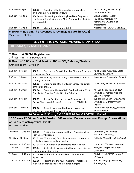| $5:44PM - 6:06pm$                                                       | 306.03 - Radiation GRMHD simulations of radiatively<br>efficient black hole accretion flows                                              | Jason Dexter, (University of<br>Colorado Boulder)                                          |
|-------------------------------------------------------------------------|------------------------------------------------------------------------------------------------------------------------------------------|--------------------------------------------------------------------------------------------|
| $6:06$ pm $-6:18$ pm                                                    | 306.04 - Disk tearing leads to High and Low frequency<br>quasi-periodic oscillations in a GRMHD simulation of a tilted<br>accretion disk | Gibwa Musoke, (Anton<br>Pannekoek Institute for<br>Astronomy, University of<br>amsterdam)  |
| $6:18$ pm $-6:30$ pm                                                    | 306.05 - Magnetically supported disks                                                                                                    | Nicolas Scepi, (JILA, CU Boulder)                                                          |
| Vandergrift - CL Floor                                                  | 6:30 PM – 8:00 pm, The Advanced X-ray Imaging Satellite (AXIS)                                                                           |                                                                                            |
|                                                                         | 6:30 pm - 8:00 pm, POSTER VIEWING & HAPPY HOUR                                                                                           |                                                                                            |
| <b>THURSDAY, 17 MARCH 2022</b>                                          |                                                                                                                                          |                                                                                            |
| 7:30 am $-$ 4:30 PM, Registration<br>17th Floor Registration/Coat Check |                                                                                                                                          |                                                                                            |
|                                                                         | 8:30 am - 10:00 am, Oral Session: 400 - ISM/Galaxies/Clusters                                                                            |                                                                                            |
| Grand Ballroom $-17$ <sup>th</sup> Floor                                |                                                                                                                                          |                                                                                            |
| $8:30$ am $-8:45$ am                                                    | 400.01 - Piercing the Galactic Bubbles: Thermal Structure<br>using Suzaku Data                                                           | Anjali Gupta, (Columbus State<br>Community College)                                        |
| $8:45$ am $-9:00$ am                                                    | 400.02 - An X-ray Emission Study of the Milky Way Halo's<br><b>Clumpy Distribution</b>                                                   | Jesse Bluem, (University of Iowa)                                                          |
| $9:00$ am $-9:15$ am                                                    | 400.03 - Characterizing the Hard X-ray Binary Population<br>of the Disk of M31                                                           | Daniel Wik, (University of Utah)                                                           |
| $9:15$ am $-9:30$ am                                                    | 400.04 - Testing the Limits of AGN Feedback in the Most<br>Rapidly Star Forming Central Cluster Galaxies                                 | Michael Calzadilla, (MIT Kavli<br>Institute for Astrophysics and<br><b>Space Research)</b> |
| $9:30$ am $-9:45$ am                                                    | 400.05 - Scaling Relations and X-ray Observables of<br>Galaxy Clusters and Groups Detected in the eFEDS Field                            | Yunus Emre Bahar, (Max Planck<br>Institute for Extraterrestrial<br>Physics)                |
| $9:45$ am $-10:00$ am                                                   | 400.06 - Acoustic waves and turbulence as energy<br>carriers in a viscous intracluster medium                                            | Prakriti PalChoudhury, (Institute<br>of Astronomy)                                         |
|                                                                         | 10:00 am - 10:30 am, AM COFFEE BREAK & POSTER VIEWING                                                                                    |                                                                                            |
|                                                                         | 10:30 am - 12:00 pm, Special Session: 401 - What Do We Learn from Prompt Observations                                                    |                                                                                            |
| of Transient Astrophysical Events                                       |                                                                                                                                          |                                                                                            |
| Urban $-17$ <sup>th</sup> Floor                                         |                                                                                                                                          |                                                                                            |
| 10:30 am $-$ 10:48 am                                                   | 401.01 - Probing Supernovae and their Progenitors from<br>High-Energy Emission                                                           | Chris Fryer, (Los Alamos<br>National Laboratory)                                           |
| 10:48am - 10:48 am                                                      | 401.02 - (Withdrawn) Early observations of transients to<br>probe late stages of stellar evolution                                       | Raffaella Margutti, (UC Berkeley)                                                          |
| $10:48$ am $-11:06$ am                                                  | 401.03 - A UV Window on Transients with ULTRASAT                                                                                         | lair Arcavi, (Tel Aviv University)                                                         |
| 11:06 am-11:24 am                                                       | 401.04 - Stellar death astrophysics through extensive and<br>panchromatic observations                                                   | Maryam Modjaz, (New York<br>University)                                                    |
| 11:24 am $-$ 11:42 am                                                   | 401.05 - Aspherical Shock Breakout: Observational<br>Signatures                                                                          | Chris Irwin, (RESCEU, University<br>of Tokyo)                                              |
| 11:42 am $-$ 12:00 pm                                                   | 401.06 - Peering into the multi-messenger maelstrom<br>with rapid observations of neutron star mergers                                   | Eleonora Troja, (University of<br>Tor Vergata)                                             |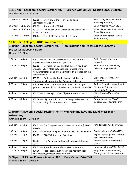| 10:30 am – 12:00 pm, Special Session: 402 – Science with XRISM: Mission Status Update            |                                                                                                                                                                                                       |                                                                                      |  |
|--------------------------------------------------------------------------------------------------|-------------------------------------------------------------------------------------------------------------------------------------------------------------------------------------------------------|--------------------------------------------------------------------------------------|--|
| Grand Ballroom - 17 <sup>th</sup> Floor                                                          |                                                                                                                                                                                                       |                                                                                      |  |
| 11:00 am $-11:30$ am                                                                             | 402.01 - Overview of the X-Ray Imaging and<br><b>Spectroscopy Mission</b>                                                                                                                             | Rich Kelley, (NASA Goddard<br>Space Flight Center)                                   |  |
| $10:30$ am $-11:00$ am                                                                           | 402.02 - Science with XRISM                                                                                                                                                                           | Brian Williams, (NASA GSFC)                                                          |  |
| 11:30 am $-$ 11:45 am                                                                            | 402.03 - The XRISM Guest Observer and Early Release<br><b>Science Programs</b>                                                                                                                        | Robert Petre, (NASA Goddard<br>Space Flight Center)                                  |  |
| $11:45$ am - 12:00 pm                                                                            | 402.04 - The XRISM Guest Scientist Program                                                                                                                                                            | Valerie Connaughton, (NASA<br>Headquarters)                                          |  |
|                                                                                                  | <u>12:00 pm – 1:30 pm, LUNCH (on your own)</u>                                                                                                                                                        |                                                                                      |  |
| 1:30 pm – 3:00 pm, Special Session: 403 – Implications and Tracers of the Energetic              |                                                                                                                                                                                                       |                                                                                      |  |
| <b>Processes at Cosmic Dawn</b>                                                                  |                                                                                                                                                                                                       |                                                                                      |  |
| Urban $-17^{\text{th}}$ Floor                                                                    |                                                                                                                                                                                                       |                                                                                      |  |
| 1:30 pm $-$ 1:45 pm                                                                              | 403.01 - Are the Newly-Discovered z ~ 13 Drop-out<br>Sources Starburst Galaxies or Quasars?                                                                                                           | Fabio Pacucci, (Harvard<br>University)                                               |  |
| 1:45 pm $-$ 2:00 pm                                                                              | 403.02 - Elevated Hot Gas and High-Mass X-ray Binary<br>Emission in Low Metallicity Galaxies: Implications for<br>Nebular Ionization and Intergalactic Medium Heating in the<br><b>Early Universe</b> | Bret Lehmer, (University of<br>Arkansas, Fayetteville)                               |  |
| $2:00 \text{ pm} - 2:15 \text{ pm}$                                                              | 403.03 - Exploring the Production of High-Energy<br>Photons with Reionization-Era Analogue Galaxies                                                                                                   | Grace Olivier, (Ohio State<br>University)                                            |  |
| $2:15$ pm $- 2:30$ pm                                                                            | 403.04 - Lyman Continuum emission in the youngest<br>galaxies: the role of X-ray binaries and Low Luminosity AGN.                                                                                     | Andrea Prestwich (provisional),<br>(Center for Astrophysics,<br>Harvard-Smithsonian) |  |
| $2:30$ pm $- 2:45$ pm                                                                            | 403.05 - Accreting Compact Objects at Cosmic Dawn                                                                                                                                                     | Philip Kaaret, (University of<br>lowa)                                               |  |
| $2:45$ pm $-3:00$ pm                                                                             | 403.06 - High ionization emission line galaxies near and<br>far: A reckoning of all the energetic processes                                                                                           | Antara Basu-Zych, (NASA<br><b>Goddard Space Flight Center)</b>                       |  |
| 1:30 pm – 3:00 pm, Special Session: 404 – MeV Gamma Rays and Multi-messenger<br><b>Astronomy</b> |                                                                                                                                                                                                       |                                                                                      |  |
| Grand Ballroom - 17 <sup>th</sup> Floor                                                          |                                                                                                                                                                                                       |                                                                                      |  |
| 1:30 pm $-$ 1:45 pm                                                                              | 404.01 - The Compton Spectrometer and Imager (in MeV<br>session)                                                                                                                                      | John Tomsick, (UC Berkeley/SSL)                                                      |  |
| 1:45 pm $- 2:00$ pm                                                                              | 404.02 - An MeV Perspective of the 2020 Decadal Survey                                                                                                                                                | Carolyn Kierans, (NASA/GSFC)                                                         |  |
| $2:00 \text{ pm} - 2:15 \text{ pm}$                                                              | 404.03 - amEGO-X Mission Overview                                                                                                                                                                     | Regina Caputo, (NASA Goddard<br><b>Space Flight Center)</b>                          |  |
| $2:15$ pm $- 2:30$ pm                                                                            | 404.04 - The Advanced Particle-astrophysics Telescope<br>(APT)                                                                                                                                        | James Buckley, (Washington<br>$Univ.$ )                                              |  |
| $2:30$ pm $- 2:45$ pm                                                                            | 404.05 - Scientific potentials for MeV polarimetry                                                                                                                                                    | Haocheng Zhang, (NASA GSFC)                                                          |  |
| $2:45$ pm $-3:00$ pm                                                                             | 404.06 - Past, Present & Future of the Astrophysical<br>Multimessenger Observatory Network                                                                                                            | Hugo Alberto Ayala Solares,<br>(Pennsylvania State University)                       |  |
| 3:00 pm – 3:45 pm, Plenary Session: 405 – Early Career Prize Talk                                |                                                                                                                                                                                                       |                                                                                      |  |

Grand Ballroom – 17th Floor